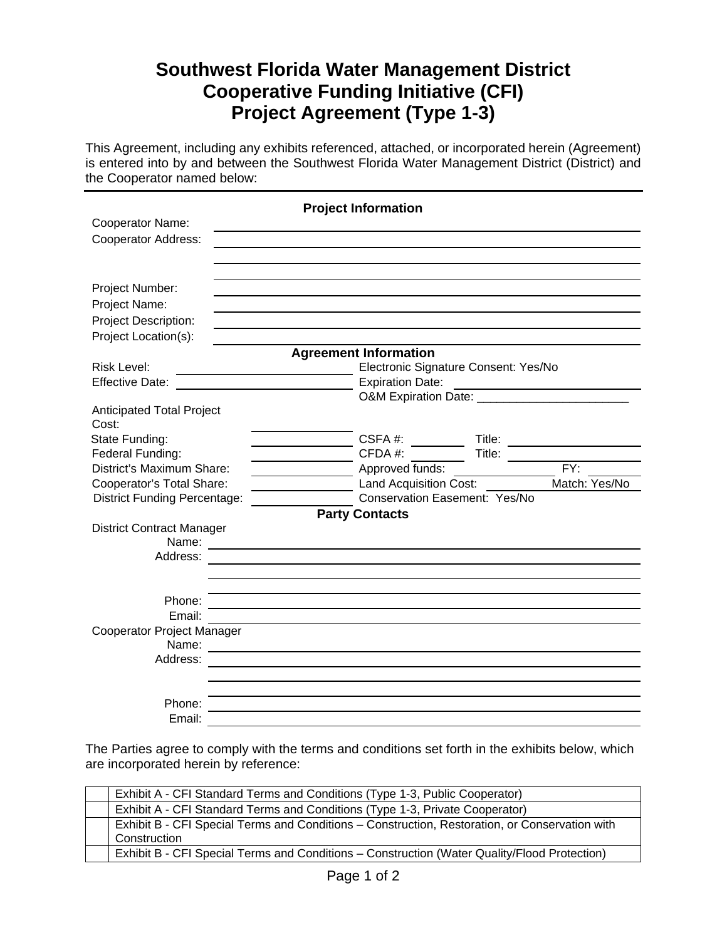# **Southwest Florida Water Management District Cooperative Funding Initiative (CFI) Project Agreement (Type 1-3)**

This Agreement, including any exhibits referenced, attached, or incorporated herein (Agreement) is entered into by and between the Southwest Florida Water Management District (District) and the Cooperator named below:

| <b>Project Information</b>                |                                                               |  |  |  |  |
|-------------------------------------------|---------------------------------------------------------------|--|--|--|--|
| Cooperator Name:                          |                                                               |  |  |  |  |
| <b>Cooperator Address:</b>                |                                                               |  |  |  |  |
|                                           |                                                               |  |  |  |  |
|                                           |                                                               |  |  |  |  |
| Project Number:                           |                                                               |  |  |  |  |
| Project Name:                             |                                                               |  |  |  |  |
| Project Description:                      |                                                               |  |  |  |  |
| Project Location(s):                      |                                                               |  |  |  |  |
|                                           | <b>Agreement Information</b>                                  |  |  |  |  |
| <b>Risk Level:</b>                        | Electronic Signature Consent: Yes/No                          |  |  |  |  |
| <b>Effective Date:</b>                    | <b>Expiration Date:</b>                                       |  |  |  |  |
|                                           |                                                               |  |  |  |  |
| <b>Anticipated Total Project</b><br>Cost: |                                                               |  |  |  |  |
| State Funding:                            | CSFA#:                                                        |  |  |  |  |
| Federal Funding:                          | CFDA#:<br>Title: Title:                                       |  |  |  |  |
| District's Maximum Share:                 | FY:<br>Approved funds:                                        |  |  |  |  |
| Cooperator's Total Share:                 | Match: Yes/No<br>Land Acquisition Cost:                       |  |  |  |  |
| <b>District Funding Percentage:</b>       | <b>Conservation Easement: Yes/No</b>                          |  |  |  |  |
|                                           | <b>Party Contacts</b>                                         |  |  |  |  |
| <b>District Contract Manager</b>          |                                                               |  |  |  |  |
| Name:                                     |                                                               |  |  |  |  |
| Address:                                  |                                                               |  |  |  |  |
|                                           |                                                               |  |  |  |  |
| Phone:                                    |                                                               |  |  |  |  |
| Email:                                    |                                                               |  |  |  |  |
| Cooperator Project Manager                |                                                               |  |  |  |  |
| Name:                                     | <u> 1989 - John Stein, marking and de Brazilian (b. 1989)</u> |  |  |  |  |
| Address:                                  |                                                               |  |  |  |  |
|                                           |                                                               |  |  |  |  |
|                                           |                                                               |  |  |  |  |
| Phone:                                    |                                                               |  |  |  |  |
| Email:                                    |                                                               |  |  |  |  |

The Parties agree to comply with the terms and conditions set forth in the exhibits below, which are incorporated herein by reference:

| Exhibit A - CFI Standard Terms and Conditions (Type 1-3, Public Cooperator)                    |  |
|------------------------------------------------------------------------------------------------|--|
| Exhibit A - CFI Standard Terms and Conditions (Type 1-3, Private Cooperator)                   |  |
| Exhibit B - CFI Special Terms and Conditions - Construction, Restoration, or Conservation with |  |
| Construction                                                                                   |  |
| Exhibit B - CFI Special Terms and Conditions - Construction (Water Quality/Flood Protection)   |  |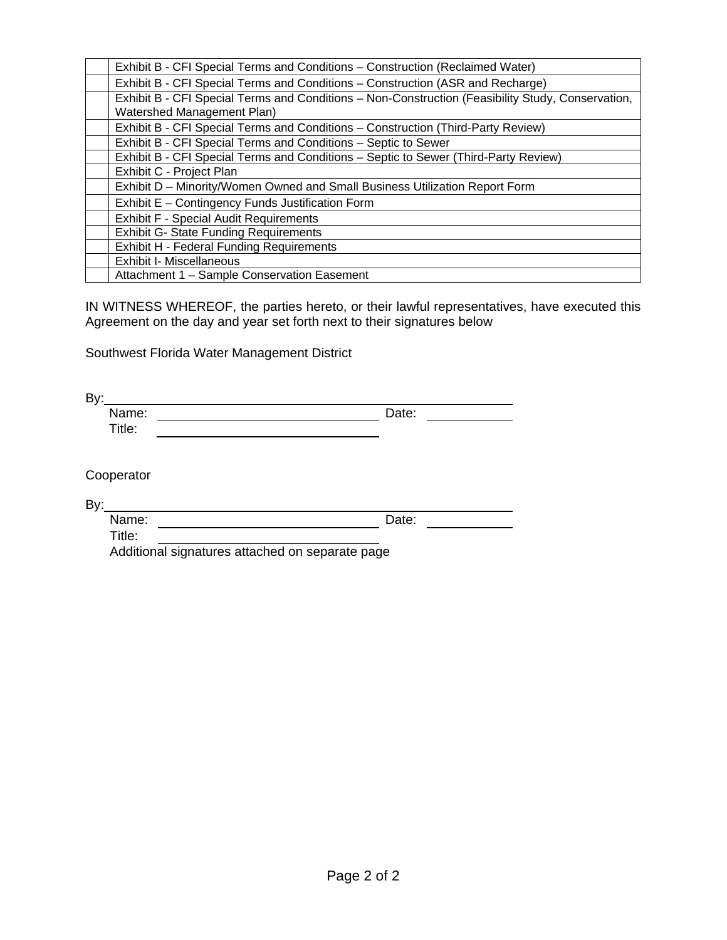| Exhibit B - CFI Special Terms and Conditions – Construction (Reclaimed Water)                     |
|---------------------------------------------------------------------------------------------------|
| Exhibit B - CFI Special Terms and Conditions - Construction (ASR and Recharge)                    |
| Exhibit B - CFI Special Terms and Conditions - Non-Construction (Feasibility Study, Conservation, |
| Watershed Management Plan)                                                                        |
| Exhibit B - CFI Special Terms and Conditions - Construction (Third-Party Review)                  |
| Exhibit B - CFI Special Terms and Conditions - Septic to Sewer                                    |
| Exhibit B - CFI Special Terms and Conditions - Septic to Sewer (Third-Party Review)               |
| Exhibit C - Project Plan                                                                          |
| Exhibit D - Minority/Women Owned and Small Business Utilization Report Form                       |
| Exhibit E - Contingency Funds Justification Form                                                  |
| <b>Exhibit F - Special Audit Requirements</b>                                                     |
| <b>Exhibit G- State Funding Requirements</b>                                                      |
| <b>Exhibit H - Federal Funding Requirements</b>                                                   |
| <b>Exhibit I- Miscellaneous</b>                                                                   |
| Attachment 1 - Sample Conservation Easement                                                       |

IN WITNESS WHEREOF, the parties hereto, or their lawful representatives, have executed this Agreement on the day and year set forth next to their signatures below

Southwest Florida Water Management District

| Name:  | Date: |
|--------|-------|
| Title: |       |

Cooperator

 $By:$ 

<u> 1980 - Johann Barn, mars an t-Amerikaansk politiker (</u> Name: Date: Date: Title:

Additional signatures attached on separate page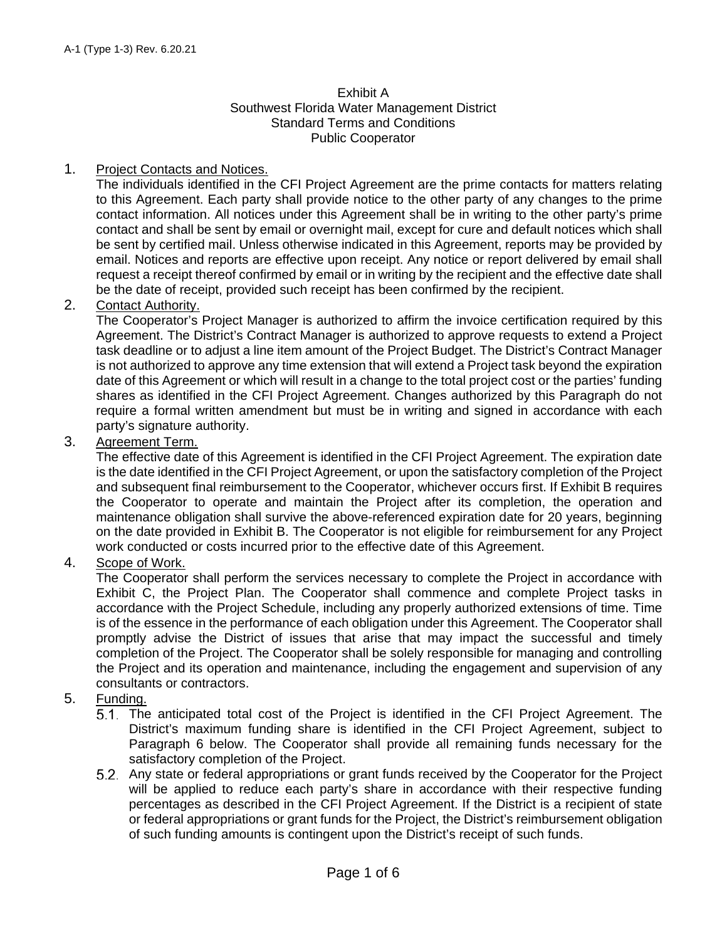#### Exhibit A Southwest Florida Water Management District Standard Terms and Conditions Public Cooperator

### 1. Project Contacts and Notices.

The individuals identified in the CFI Project Agreement are the prime contacts for matters relating to this Agreement. Each party shall provide notice to the other party of any changes to the prime contact information. All notices under this Agreement shall be in writing to the other party's prime contact and shall be sent by email or overnight mail, except for cure and default notices which shall be sent by certified mail. Unless otherwise indicated in this Agreement, reports may be provided by email. Notices and reports are effective upon receipt. Any notice or report delivered by email shall request a receipt thereof confirmed by email or in writing by the recipient and the effective date shall be the date of receipt, provided such receipt has been confirmed by the recipient.

### 2. Contact Authority.

The Cooperator's Project Manager is authorized to affirm the invoice certification required by this Agreement. The District's Contract Manager is authorized to approve requests to extend a Project task deadline or to adjust a line item amount of the Project Budget. The District's Contract Manager is not authorized to approve any time extension that will extend a Project task beyond the expiration date of this Agreement or which will result in a change to the total project cost or the parties' funding shares as identified in the CFI Project Agreement. Changes authorized by this Paragraph do not require a formal written amendment but must be in writing and signed in accordance with each party's signature authority.

### 3. Agreement Term.

The effective date of this Agreement is identified in the CFI Project Agreement. The expiration date is the date identified in the CFI Project Agreement, or upon the satisfactory completion of the Project and subsequent final reimbursement to the Cooperator, whichever occurs first. If Exhibit B requires the Cooperator to operate and maintain the Project after its completion, the operation and maintenance obligation shall survive the above-referenced expiration date for 20 years, beginning on the date provided in Exhibit B. The Cooperator is not eligible for reimbursement for any Project work conducted or costs incurred prior to the effective date of this Agreement.

### 4. Scope of Work.

The Cooperator shall perform the services necessary to complete the Project in accordance with Exhibit C, the Project Plan. The Cooperator shall commence and complete Project tasks in accordance with the Project Schedule, including any properly authorized extensions of time. Time is of the essence in the performance of each obligation under this Agreement. The Cooperator shall promptly advise the District of issues that arise that may impact the successful and timely completion of the Project. The Cooperator shall be solely responsible for managing and controlling the Project and its operation and maintenance, including the engagement and supervision of any consultants or contractors.

### 5. Funding.

- The anticipated total cost of the Project is identified in the CFI Project Agreement. The District's maximum funding share is identified in the CFI Project Agreement, subject to Paragraph 6 below. The Cooperator shall provide all remaining funds necessary for the satisfactory completion of the Project.
- Any state or federal appropriations or grant funds received by the Cooperator for the Project will be applied to reduce each party's share in accordance with their respective funding percentages as described in the CFI Project Agreement. If the District is a recipient of state or federal appropriations or grant funds for the Project, the District's reimbursement obligation of such funding amounts is contingent upon the District's receipt of such funds.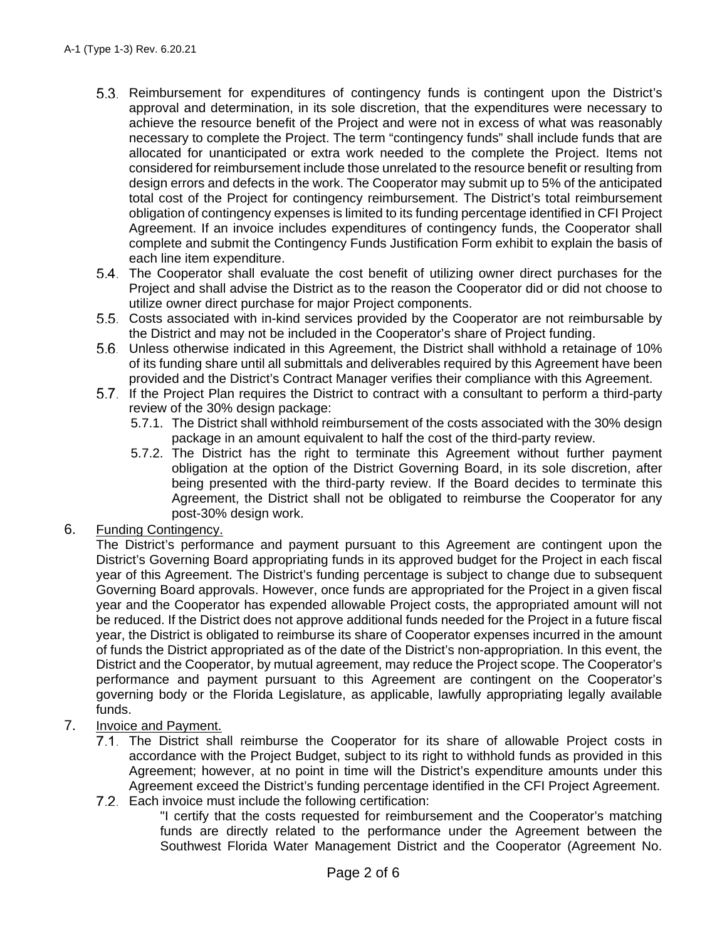- Reimbursement for expenditures of contingency funds is contingent upon the District's approval and determination, in its sole discretion, that the expenditures were necessary to achieve the resource benefit of the Project and were not in excess of what was reasonably necessary to complete the Project. The term "contingency funds" shall include funds that are allocated for unanticipated or extra work needed to the complete the Project. Items not considered for reimbursement include those unrelated to the resource benefit or resulting from design errors and defects in the work. The Cooperator may submit up to 5% of the anticipated total cost of the Project for contingency reimbursement. The District's total reimbursement obligation of contingency expenses is limited to its funding percentage identified in CFI Project Agreement. If an invoice includes expenditures of contingency funds, the Cooperator shall complete and submit the Contingency Funds Justification Form exhibit to explain the basis of each line item expenditure.
- The Cooperator shall evaluate the cost benefit of utilizing owner direct purchases for the Project and shall advise the District as to the reason the Cooperator did or did not choose to utilize owner direct purchase for major Project components.
- Costs associated with in-kind services provided by the Cooperator are not reimbursable by the District and may not be included in the Cooperator's share of Project funding.
- Unless otherwise indicated in this Agreement, the District shall withhold a retainage of 10% of its funding share until all submittals and deliverables required by this Agreement have been provided and the District's Contract Manager verifies their compliance with this Agreement.
- If the Project Plan requires the District to contract with a consultant to perform a third-party review of the 30% design package:
	- 5.7.1. The District shall withhold reimbursement of the costs associated with the 30% design package in an amount equivalent to half the cost of the third-party review.
	- 5.7.2. The District has the right to terminate this Agreement without further payment obligation at the option of the District Governing Board, in its sole discretion, after being presented with the third-party review. If the Board decides to terminate this Agreement, the District shall not be obligated to reimburse the Cooperator for any post-30% design work.

### 6. Funding Contingency.

The District's performance and payment pursuant to this Agreement are contingent upon the District's Governing Board appropriating funds in its approved budget for the Project in each fiscal year of this Agreement. The District's funding percentage is subject to change due to subsequent Governing Board approvals. However, once funds are appropriated for the Project in a given fiscal year and the Cooperator has expended allowable Project costs, the appropriated amount will not be reduced. If the District does not approve additional funds needed for the Project in a future fiscal year, the District is obligated to reimburse its share of Cooperator expenses incurred in the amount of funds the District appropriated as of the date of the District's non-appropriation. In this event, the District and the Cooperator, by mutual agreement, may reduce the Project scope. The Cooperator's performance and payment pursuant to this Agreement are contingent on the Cooperator's governing body or the Florida Legislature, as applicable, lawfully appropriating legally available funds.

- 7. Invoice and Payment.
	- The District shall reimburse the Cooperator for its share of allowable Project costs in accordance with the Project Budget, subject to its right to withhold funds as provided in this Agreement; however, at no point in time will the District's expenditure amounts under this Agreement exceed the District's funding percentage identified in the CFI Project Agreement. 7.2. Each invoice must include the following certification:
		- "I certify that the costs requested for reimbursement and the Cooperator's matching funds are directly related to the performance under the Agreement between the Southwest Florida Water Management District and the Cooperator (Agreement No.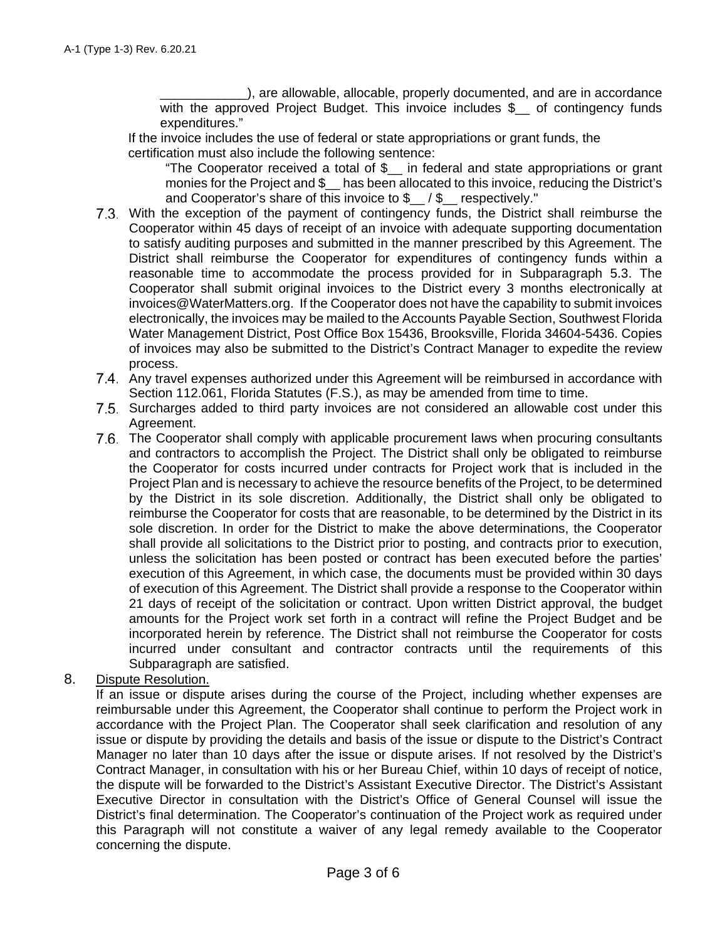), are allowable, allocable, properly documented, and are in accordance with the approved Project Budget. This invoice includes \$\_ of contingency funds expenditures."

If the invoice includes the use of federal or state appropriations or grant funds, the certification must also include the following sentence:

"The Cooperator received a total of \$\_\_ in federal and state appropriations or grant monies for the Project and \$ has been allocated to this invoice, reducing the District's and Cooperator's share of this invoice to \$<sub>/\$</sub> respectively."

- 7.3. With the exception of the payment of contingency funds, the District shall reimburse the Cooperator within 45 days of receipt of an invoice with adequate supporting documentation to satisfy auditing purposes and submitted in the manner prescribed by this Agreement. The District shall reimburse the Cooperator for expenditures of contingency funds within a reasonable time to accommodate the process provided for in Subparagraph 5.3. The Cooperator shall submit original invoices to the District every 3 months electronically at invoices@WaterMatters.org. If the Cooperator does not have the capability to submit invoices electronically, the invoices may be mailed to the Accounts Payable Section, Southwest Florida Water Management District, Post Office Box 15436, Brooksville, Florida 34604-5436. Copies of invoices may also be submitted to the District's Contract Manager to expedite the review process.
- Any travel expenses authorized under this Agreement will be reimbursed in accordance with Section 112.061, Florida Statutes (F.S.), as may be amended from time to time.
- 7.5. Surcharges added to third party invoices are not considered an allowable cost under this Agreement.
- The Cooperator shall comply with applicable procurement laws when procuring consultants and contractors to accomplish the Project. The District shall only be obligated to reimburse the Cooperator for costs incurred under contracts for Project work that is included in the Project Plan and is necessary to achieve the resource benefits of the Project, to be determined by the District in its sole discretion. Additionally, the District shall only be obligated to reimburse the Cooperator for costs that are reasonable, to be determined by the District in its sole discretion. In order for the District to make the above determinations, the Cooperator shall provide all solicitations to the District prior to posting, and contracts prior to execution, unless the solicitation has been posted or contract has been executed before the parties' execution of this Agreement, in which case, the documents must be provided within 30 days of execution of this Agreement. The District shall provide a response to the Cooperator within 21 days of receipt of the solicitation or contract. Upon written District approval, the budget amounts for the Project work set forth in a contract will refine the Project Budget and be incorporated herein by reference. The District shall not reimburse the Cooperator for costs incurred under consultant and contractor contracts until the requirements of this Subparagraph are satisfied.

### 8. Dispute Resolution.

If an issue or dispute arises during the course of the Project, including whether expenses are reimbursable under this Agreement, the Cooperator shall continue to perform the Project work in accordance with the Project Plan. The Cooperator shall seek clarification and resolution of any issue or dispute by providing the details and basis of the issue or dispute to the District's Contract Manager no later than 10 days after the issue or dispute arises. If not resolved by the District's Contract Manager, in consultation with his or her Bureau Chief, within 10 days of receipt of notice, the dispute will be forwarded to the District's Assistant Executive Director. The District's Assistant Executive Director in consultation with the District's Office of General Counsel will issue the District's final determination. The Cooperator's continuation of the Project work as required under this Paragraph will not constitute a waiver of any legal remedy available to the Cooperator concerning the dispute.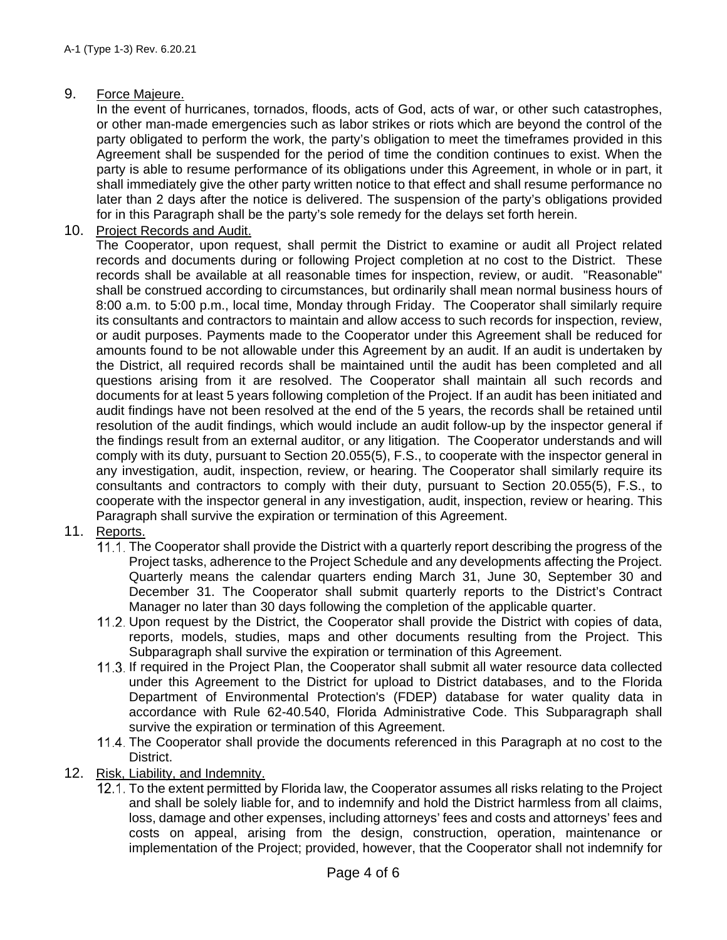### 9. Force Majeure.

In the event of hurricanes, tornados, floods, acts of God, acts of war, or other such catastrophes, or other man-made emergencies such as labor strikes or riots which are beyond the control of the party obligated to perform the work, the party's obligation to meet the timeframes provided in this Agreement shall be suspended for the period of time the condition continues to exist. When the party is able to resume performance of its obligations under this Agreement, in whole or in part, it shall immediately give the other party written notice to that effect and shall resume performance no later than 2 days after the notice is delivered. The suspension of the party's obligations provided for in this Paragraph shall be the party's sole remedy for the delays set forth herein.

10. Project Records and Audit.

The Cooperator, upon request, shall permit the District to examine or audit all Project related records and documents during or following Project completion at no cost to the District. These records shall be available at all reasonable times for inspection, review, or audit. "Reasonable" shall be construed according to circumstances, but ordinarily shall mean normal business hours of 8:00 a.m. to 5:00 p.m., local time, Monday through Friday. The Cooperator shall similarly require its consultants and contractors to maintain and allow access to such records for inspection, review, or audit purposes. Payments made to the Cooperator under this Agreement shall be reduced for amounts found to be not allowable under this Agreement by an audit. If an audit is undertaken by the District, all required records shall be maintained until the audit has been completed and all questions arising from it are resolved. The Cooperator shall maintain all such records and documents for at least 5 years following completion of the Project. If an audit has been initiated and audit findings have not been resolved at the end of the 5 years, the records shall be retained until resolution of the audit findings, which would include an audit follow-up by the inspector general if the findings result from an external auditor, or any litigation. The Cooperator understands and will comply with its duty, pursuant to Section 20.055(5), F.S., to cooperate with the inspector general in any investigation, audit, inspection, review, or hearing. The Cooperator shall similarly require its consultants and contractors to comply with their duty, pursuant to Section 20.055(5), F.S., to cooperate with the inspector general in any investigation, audit, inspection, review or hearing. This Paragraph shall survive the expiration or termination of this Agreement.

# 11. Reports.

- 11.1. The Cooperator shall provide the District with a quarterly report describing the progress of the Project tasks, adherence to the Project Schedule and any developments affecting the Project. Quarterly means the calendar quarters ending March 31, June 30, September 30 and December 31. The Cooperator shall submit quarterly reports to the District's Contract Manager no later than 30 days following the completion of the applicable quarter.
- 11.2. Upon request by the District, the Cooperator shall provide the District with copies of data, reports, models, studies, maps and other documents resulting from the Project. This Subparagraph shall survive the expiration or termination of this Agreement.
- If required in the Project Plan, the Cooperator shall submit all water resource data collected under this Agreement to the District for upload to District databases, and to the Florida Department of Environmental Protection's (FDEP) database for water quality data in accordance with Rule 62-40.540, Florida Administrative Code. This Subparagraph shall survive the expiration or termination of this Agreement.
- 11.4. The Cooperator shall provide the documents referenced in this Paragraph at no cost to the District.
- 12. Risk, Liability, and Indemnity.
	- 12.1. To the extent permitted by Florida law, the Cooperator assumes all risks relating to the Project and shall be solely liable for, and to indemnify and hold the District harmless from all claims, loss, damage and other expenses, including attorneys' fees and costs and attorneys' fees and costs on appeal, arising from the design, construction, operation, maintenance or implementation of the Project; provided, however, that the Cooperator shall not indemnify for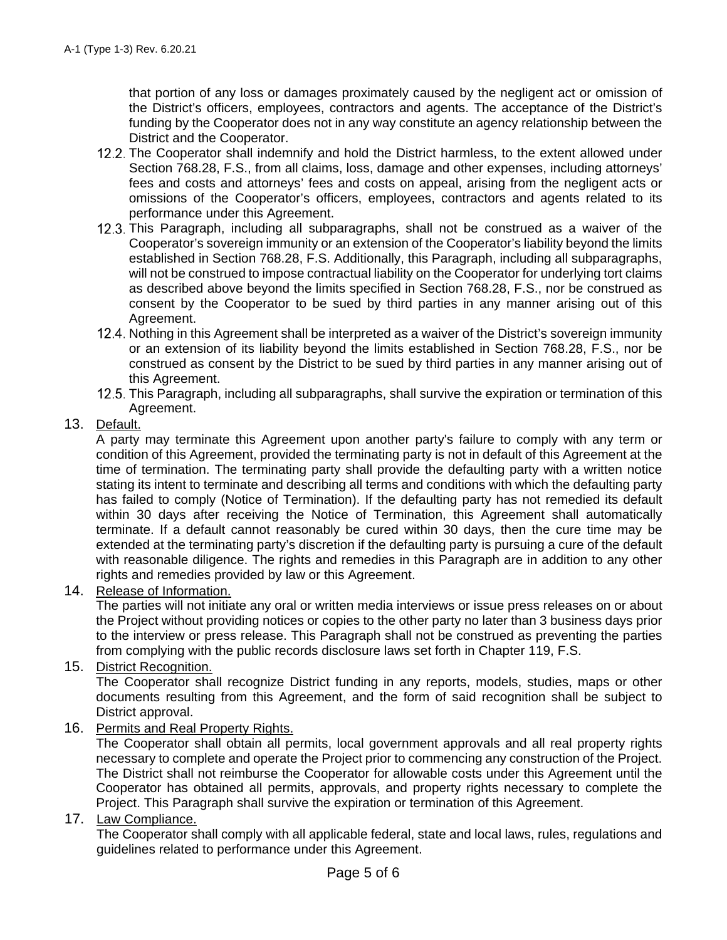that portion of any loss or damages proximately caused by the negligent act or omission of the District's officers, employees, contractors and agents. The acceptance of the District's funding by the Cooperator does not in any way constitute an agency relationship between the District and the Cooperator.

- 12.2. The Cooperator shall indemnify and hold the District harmless, to the extent allowed under Section 768.28, F.S., from all claims, loss, damage and other expenses, including attorneys' fees and costs and attorneys' fees and costs on appeal, arising from the negligent acts or omissions of the Cooperator's officers, employees, contractors and agents related to its performance under this Agreement.
- 12.3. This Paragraph, including all subparagraphs, shall not be construed as a waiver of the Cooperator's sovereign immunity or an extension of the Cooperator's liability beyond the limits established in Section 768.28, F.S. Additionally, this Paragraph, including all subparagraphs, will not be construed to impose contractual liability on the Cooperator for underlying tort claims as described above beyond the limits specified in Section 768.28, F.S., nor be construed as consent by the Cooperator to be sued by third parties in any manner arising out of this Agreement.
- 12.4. Nothing in this Agreement shall be interpreted as a waiver of the District's sovereign immunity or an extension of its liability beyond the limits established in Section 768.28, F.S., nor be construed as consent by the District to be sued by third parties in any manner arising out of this Agreement.
- 12.5. This Paragraph, including all subparagraphs, shall survive the expiration or termination of this Agreement.

### 13. Default.

A party may terminate this Agreement upon another party's failure to comply with any term or condition of this Agreement, provided the terminating party is not in default of this Agreement at the time of termination. The terminating party shall provide the defaulting party with a written notice stating its intent to terminate and describing all terms and conditions with which the defaulting party has failed to comply (Notice of Termination). If the defaulting party has not remedied its default within 30 days after receiving the Notice of Termination, this Agreement shall automatically terminate. If a default cannot reasonably be cured within 30 days, then the cure time may be extended at the terminating party's discretion if the defaulting party is pursuing a cure of the default with reasonable diligence. The rights and remedies in this Paragraph are in addition to any other rights and remedies provided by law or this Agreement.

14. Release of Information.

The parties will not initiate any oral or written media interviews or issue press releases on or about the Project without providing notices or copies to the other party no later than 3 business days prior to the interview or press release. This Paragraph shall not be construed as preventing the parties from complying with the public records disclosure laws set forth in Chapter 119, F.S.

15. District Recognition.

The Cooperator shall recognize District funding in any reports, models, studies, maps or other documents resulting from this Agreement, and the form of said recognition shall be subject to District approval.

16. Permits and Real Property Rights.

The Cooperator shall obtain all permits, local government approvals and all real property rights necessary to complete and operate the Project prior to commencing any construction of the Project. The District shall not reimburse the Cooperator for allowable costs under this Agreement until the Cooperator has obtained all permits, approvals, and property rights necessary to complete the Project. This Paragraph shall survive the expiration or termination of this Agreement.

17. Law Compliance.

The Cooperator shall comply with all applicable federal, state and local laws, rules, regulations and guidelines related to performance under this Agreement.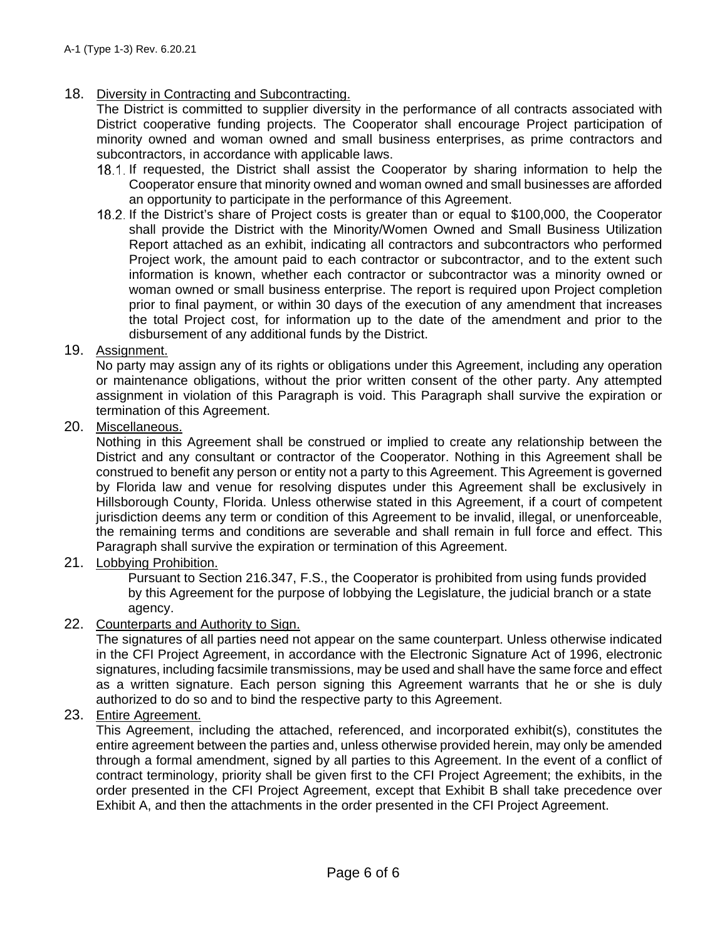### 18. Diversity in Contracting and Subcontracting.

The District is committed to supplier diversity in the performance of all contracts associated with District cooperative funding projects. The Cooperator shall encourage Project participation of minority owned and woman owned and small business enterprises, as prime contractors and subcontractors, in accordance with applicable laws.

- 18.1. If requested, the District shall assist the Cooperator by sharing information to help the Cooperator ensure that minority owned and woman owned and small businesses are afforded an opportunity to participate in the performance of this Agreement.
- If the District's share of Project costs is greater than or equal to \$100,000, the Cooperator shall provide the District with the Minority/Women Owned and Small Business Utilization Report attached as an exhibit, indicating all contractors and subcontractors who performed Project work, the amount paid to each contractor or subcontractor, and to the extent such information is known, whether each contractor or subcontractor was a minority owned or woman owned or small business enterprise. The report is required upon Project completion prior to final payment, or within 30 days of the execution of any amendment that increases the total Project cost, for information up to the date of the amendment and prior to the disbursement of any additional funds by the District.

### 19. Assignment.

No party may assign any of its rights or obligations under this Agreement, including any operation or maintenance obligations, without the prior written consent of the other party. Any attempted assignment in violation of this Paragraph is void. This Paragraph shall survive the expiration or termination of this Agreement.

### 20. Miscellaneous.

Nothing in this Agreement shall be construed or implied to create any relationship between the District and any consultant or contractor of the Cooperator. Nothing in this Agreement shall be construed to benefit any person or entity not a party to this Agreement. This Agreement is governed by Florida law and venue for resolving disputes under this Agreement shall be exclusively in Hillsborough County, Florida. Unless otherwise stated in this Agreement, if a court of competent jurisdiction deems any term or condition of this Agreement to be invalid, illegal, or unenforceable, the remaining terms and conditions are severable and shall remain in full force and effect. This Paragraph shall survive the expiration or termination of this Agreement.

21. Lobbying Prohibition.

Pursuant to Section 216.347, F.S., the Cooperator is prohibited from using funds provided by this Agreement for the purpose of lobbying the Legislature, the judicial branch or a state agency.

### 22. Counterparts and Authority to Sign.

The signatures of all parties need not appear on the same counterpart. Unless otherwise indicated in the CFI Project Agreement, in accordance with the Electronic Signature Act of 1996, electronic signatures, including facsimile transmissions, may be used and shall have the same force and effect as a written signature. Each person signing this Agreement warrants that he or she is duly authorized to do so and to bind the respective party to this Agreement.

### 23. Entire Agreement.

This Agreement, including the attached, referenced, and incorporated exhibit(s), constitutes the entire agreement between the parties and, unless otherwise provided herein, may only be amended through a formal amendment, signed by all parties to this Agreement. In the event of a conflict of contract terminology, priority shall be given first to the CFI Project Agreement; the exhibits, in the order presented in the CFI Project Agreement, except that Exhibit B shall take precedence over Exhibit A, and then the attachments in the order presented in the CFI Project Agreement.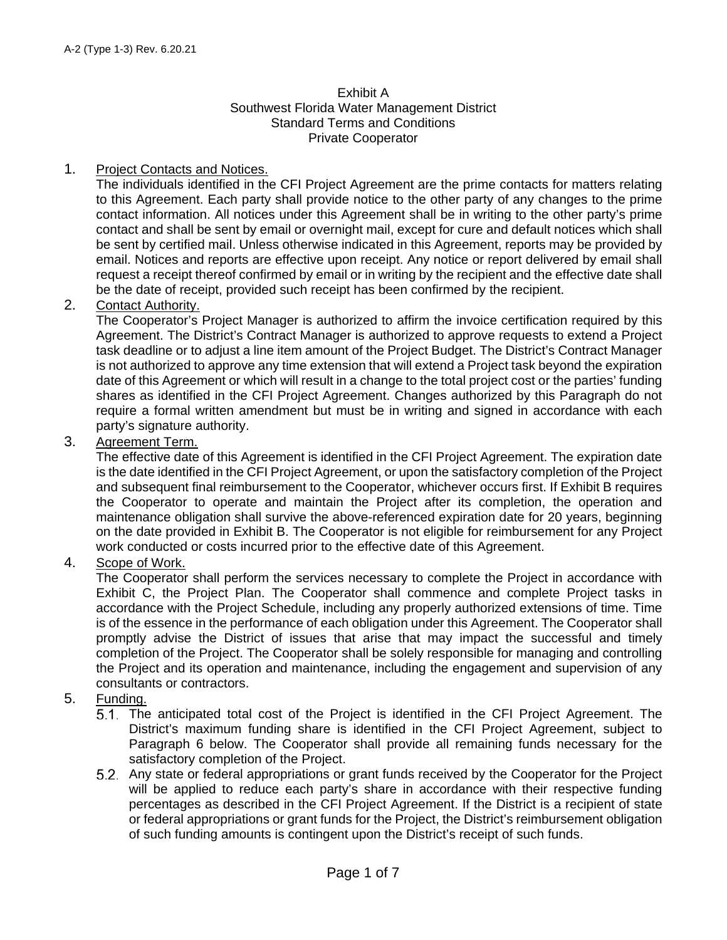#### Exhibit A Southwest Florida Water Management District Standard Terms and Conditions Private Cooperator

### 1. Project Contacts and Notices.

The individuals identified in the CFI Project Agreement are the prime contacts for matters relating to this Agreement. Each party shall provide notice to the other party of any changes to the prime contact information. All notices under this Agreement shall be in writing to the other party's prime contact and shall be sent by email or overnight mail, except for cure and default notices which shall be sent by certified mail. Unless otherwise indicated in this Agreement, reports may be provided by email. Notices and reports are effective upon receipt. Any notice or report delivered by email shall request a receipt thereof confirmed by email or in writing by the recipient and the effective date shall be the date of receipt, provided such receipt has been confirmed by the recipient.

### 2. Contact Authority.

The Cooperator's Project Manager is authorized to affirm the invoice certification required by this Agreement. The District's Contract Manager is authorized to approve requests to extend a Project task deadline or to adjust a line item amount of the Project Budget. The District's Contract Manager is not authorized to approve any time extension that will extend a Project task beyond the expiration date of this Agreement or which will result in a change to the total project cost or the parties' funding shares as identified in the CFI Project Agreement. Changes authorized by this Paragraph do not require a formal written amendment but must be in writing and signed in accordance with each party's signature authority.

### 3. Agreement Term.

The effective date of this Agreement is identified in the CFI Project Agreement. The expiration date is the date identified in the CFI Project Agreement, or upon the satisfactory completion of the Project and subsequent final reimbursement to the Cooperator, whichever occurs first. If Exhibit B requires the Cooperator to operate and maintain the Project after its completion, the operation and maintenance obligation shall survive the above-referenced expiration date for 20 years, beginning on the date provided in Exhibit B. The Cooperator is not eligible for reimbursement for any Project work conducted or costs incurred prior to the effective date of this Agreement.

### 4. Scope of Work.

The Cooperator shall perform the services necessary to complete the Project in accordance with Exhibit C, the Project Plan. The Cooperator shall commence and complete Project tasks in accordance with the Project Schedule, including any properly authorized extensions of time. Time is of the essence in the performance of each obligation under this Agreement. The Cooperator shall promptly advise the District of issues that arise that may impact the successful and timely completion of the Project. The Cooperator shall be solely responsible for managing and controlling the Project and its operation and maintenance, including the engagement and supervision of any consultants or contractors.

### 5. Funding.

- The anticipated total cost of the Project is identified in the CFI Project Agreement. The District's maximum funding share is identified in the CFI Project Agreement, subject to Paragraph 6 below. The Cooperator shall provide all remaining funds necessary for the satisfactory completion of the Project.
- Any state or federal appropriations or grant funds received by the Cooperator for the Project will be applied to reduce each party's share in accordance with their respective funding percentages as described in the CFI Project Agreement. If the District is a recipient of state or federal appropriations or grant funds for the Project, the District's reimbursement obligation of such funding amounts is contingent upon the District's receipt of such funds.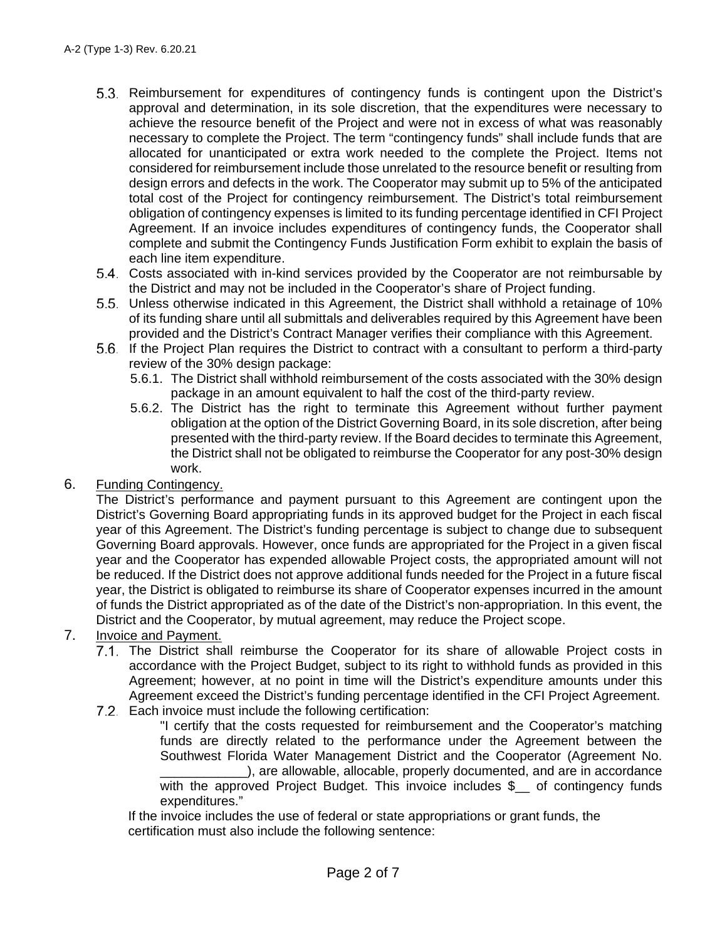- Reimbursement for expenditures of contingency funds is contingent upon the District's approval and determination, in its sole discretion, that the expenditures were necessary to achieve the resource benefit of the Project and were not in excess of what was reasonably necessary to complete the Project. The term "contingency funds" shall include funds that are allocated for unanticipated or extra work needed to the complete the Project. Items not considered for reimbursement include those unrelated to the resource benefit or resulting from design errors and defects in the work. The Cooperator may submit up to 5% of the anticipated total cost of the Project for contingency reimbursement. The District's total reimbursement obligation of contingency expenses is limited to its funding percentage identified in CFI Project Agreement. If an invoice includes expenditures of contingency funds, the Cooperator shall complete and submit the Contingency Funds Justification Form exhibit to explain the basis of each line item expenditure.
- Costs associated with in-kind services provided by the Cooperator are not reimbursable by the District and may not be included in the Cooperator's share of Project funding.
- Unless otherwise indicated in this Agreement, the District shall withhold a retainage of 10% of its funding share until all submittals and deliverables required by this Agreement have been provided and the District's Contract Manager verifies their compliance with this Agreement.
- 5.6. If the Project Plan requires the District to contract with a consultant to perform a third-party review of the 30% design package:
	- 5.6.1. The District shall withhold reimbursement of the costs associated with the 30% design package in an amount equivalent to half the cost of the third-party review.
	- 5.6.2. The District has the right to terminate this Agreement without further payment obligation at the option of the District Governing Board, in its sole discretion, after being presented with the third-party review. If the Board decides to terminate this Agreement, the District shall not be obligated to reimburse the Cooperator for any post-30% design work.
- 6. Funding Contingency.

The District's performance and payment pursuant to this Agreement are contingent upon the District's Governing Board appropriating funds in its approved budget for the Project in each fiscal year of this Agreement. The District's funding percentage is subject to change due to subsequent Governing Board approvals. However, once funds are appropriated for the Project in a given fiscal year and the Cooperator has expended allowable Project costs, the appropriated amount will not be reduced. If the District does not approve additional funds needed for the Project in a future fiscal year, the District is obligated to reimburse its share of Cooperator expenses incurred in the amount of funds the District appropriated as of the date of the District's non-appropriation. In this event, the District and the Cooperator, by mutual agreement, may reduce the Project scope.

- 7. Invoice and Payment.
	- The District shall reimburse the Cooperator for its share of allowable Project costs in accordance with the Project Budget, subject to its right to withhold funds as provided in this Agreement; however, at no point in time will the District's expenditure amounts under this Agreement exceed the District's funding percentage identified in the CFI Project Agreement.
	- 7.2. Each invoice must include the following certification:

"I certify that the costs requested for reimbursement and the Cooperator's matching funds are directly related to the performance under the Agreement between the Southwest Florida Water Management District and the Cooperator (Agreement No. ), are allowable, allocable, properly documented, and are in accordance with the approved Project Budget. This invoice includes \$ of contingency funds expenditures."

If the invoice includes the use of federal or state appropriations or grant funds, the certification must also include the following sentence: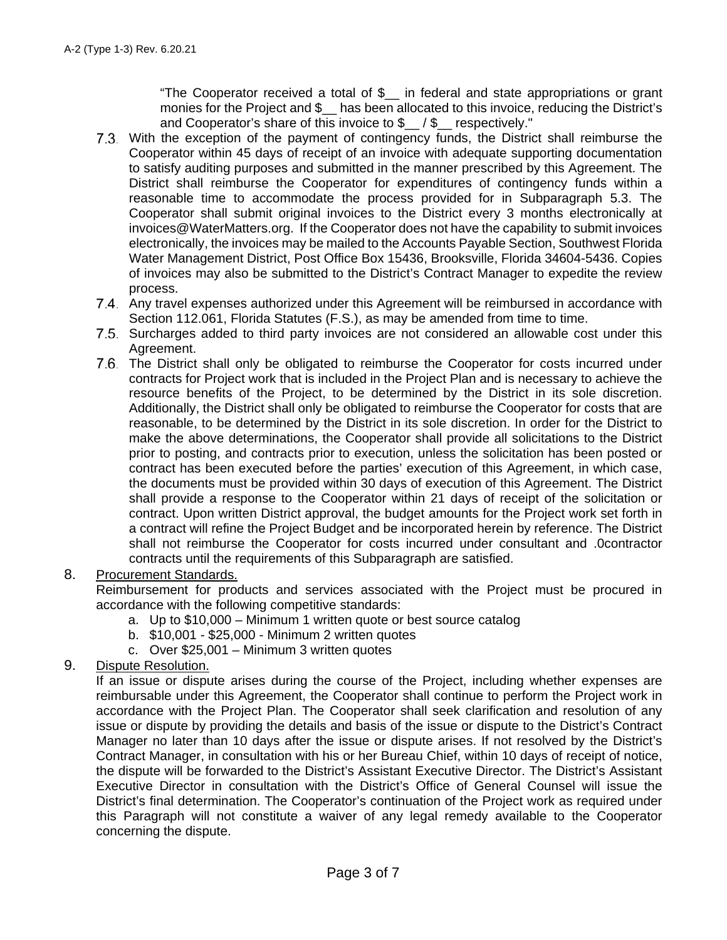"The Cooperator received a total of \$\_\_ in federal and state appropriations or grant monies for the Project and \$\_\_ has been allocated to this invoice, reducing the District's and Cooperator's share of this invoice to \$\_\_ / \$\_\_ respectively."

- With the exception of the payment of contingency funds, the District shall reimburse the Cooperator within 45 days of receipt of an invoice with adequate supporting documentation to satisfy auditing purposes and submitted in the manner prescribed by this Agreement. The District shall reimburse the Cooperator for expenditures of contingency funds within a reasonable time to accommodate the process provided for in Subparagraph 5.3. The Cooperator shall submit original invoices to the District every 3 months electronically at invoices@WaterMatters.org. If the Cooperator does not have the capability to submit invoices electronically, the invoices may be mailed to the Accounts Payable Section, Southwest Florida Water Management District, Post Office Box 15436, Brooksville, Florida 34604-5436. Copies of invoices may also be submitted to the District's Contract Manager to expedite the review process.
- Any travel expenses authorized under this Agreement will be reimbursed in accordance with Section 112.061, Florida Statutes (F.S.), as may be amended from time to time.
- 7.5. Surcharges added to third party invoices are not considered an allowable cost under this Agreement.
- The District shall only be obligated to reimburse the Cooperator for costs incurred under contracts for Project work that is included in the Project Plan and is necessary to achieve the resource benefits of the Project, to be determined by the District in its sole discretion. Additionally, the District shall only be obligated to reimburse the Cooperator for costs that are reasonable, to be determined by the District in its sole discretion. In order for the District to make the above determinations, the Cooperator shall provide all solicitations to the District prior to posting, and contracts prior to execution, unless the solicitation has been posted or contract has been executed before the parties' execution of this Agreement, in which case, the documents must be provided within 30 days of execution of this Agreement. The District shall provide a response to the Cooperator within 21 days of receipt of the solicitation or contract. Upon written District approval, the budget amounts for the Project work set forth in a contract will refine the Project Budget and be incorporated herein by reference. The District shall not reimburse the Cooperator for costs incurred under consultant and .0contractor contracts until the requirements of this Subparagraph are satisfied.

### 8. Procurement Standards.

Reimbursement for products and services associated with the Project must be procured in accordance with the following competitive standards:

- a. Up to \$10,000 Minimum 1 written quote or best source catalog
- b. \$10,001 \$25,000 Minimum 2 written quotes
- c. Over \$25,001 Minimum 3 written quotes

### 9. Dispute Resolution.

If an issue or dispute arises during the course of the Project, including whether expenses are reimbursable under this Agreement, the Cooperator shall continue to perform the Project work in accordance with the Project Plan. The Cooperator shall seek clarification and resolution of any issue or dispute by providing the details and basis of the issue or dispute to the District's Contract Manager no later than 10 days after the issue or dispute arises. If not resolved by the District's Contract Manager, in consultation with his or her Bureau Chief, within 10 days of receipt of notice, the dispute will be forwarded to the District's Assistant Executive Director. The District's Assistant Executive Director in consultation with the District's Office of General Counsel will issue the District's final determination. The Cooperator's continuation of the Project work as required under this Paragraph will not constitute a waiver of any legal remedy available to the Cooperator concerning the dispute.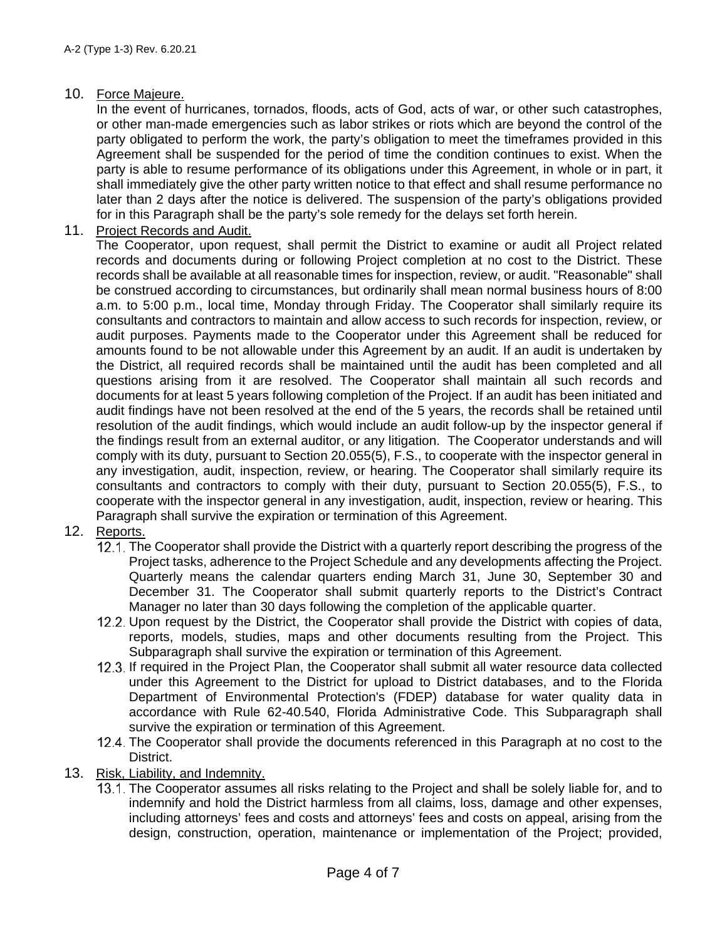### 10. Force Majeure.

In the event of hurricanes, tornados, floods, acts of God, acts of war, or other such catastrophes, or other man-made emergencies such as labor strikes or riots which are beyond the control of the party obligated to perform the work, the party's obligation to meet the timeframes provided in this Agreement shall be suspended for the period of time the condition continues to exist. When the party is able to resume performance of its obligations under this Agreement, in whole or in part, it shall immediately give the other party written notice to that effect and shall resume performance no later than 2 days after the notice is delivered. The suspension of the party's obligations provided for in this Paragraph shall be the party's sole remedy for the delays set forth herein.

11. Project Records and Audit.

The Cooperator, upon request, shall permit the District to examine or audit all Project related records and documents during or following Project completion at no cost to the District. These records shall be available at all reasonable times for inspection, review, or audit. "Reasonable" shall be construed according to circumstances, but ordinarily shall mean normal business hours of 8:00 a.m. to 5:00 p.m., local time, Monday through Friday. The Cooperator shall similarly require its consultants and contractors to maintain and allow access to such records for inspection, review, or audit purposes. Payments made to the Cooperator under this Agreement shall be reduced for amounts found to be not allowable under this Agreement by an audit. If an audit is undertaken by the District, all required records shall be maintained until the audit has been completed and all questions arising from it are resolved. The Cooperator shall maintain all such records and documents for at least 5 years following completion of the Project. If an audit has been initiated and audit findings have not been resolved at the end of the 5 years, the records shall be retained until resolution of the audit findings, which would include an audit follow-up by the inspector general if the findings result from an external auditor, or any litigation. The Cooperator understands and will comply with its duty, pursuant to Section 20.055(5), F.S., to cooperate with the inspector general in any investigation, audit, inspection, review, or hearing. The Cooperator shall similarly require its consultants and contractors to comply with their duty, pursuant to Section 20.055(5), F.S., to cooperate with the inspector general in any investigation, audit, inspection, review or hearing. This Paragraph shall survive the expiration or termination of this Agreement.

# 12. Reports.

- 12.1. The Cooperator shall provide the District with a quarterly report describing the progress of the Project tasks, adherence to the Project Schedule and any developments affecting the Project. Quarterly means the calendar quarters ending March 31, June 30, September 30 and December 31. The Cooperator shall submit quarterly reports to the District's Contract Manager no later than 30 days following the completion of the applicable quarter.
- 12.2. Upon request by the District, the Cooperator shall provide the District with copies of data, reports, models, studies, maps and other documents resulting from the Project. This Subparagraph shall survive the expiration or termination of this Agreement.
- 12.3. If required in the Project Plan, the Cooperator shall submit all water resource data collected under this Agreement to the District for upload to District databases, and to the Florida Department of Environmental Protection's (FDEP) database for water quality data in accordance with Rule 62-40.540, Florida Administrative Code. This Subparagraph shall survive the expiration or termination of this Agreement.
- 12.4. The Cooperator shall provide the documents referenced in this Paragraph at no cost to the District.
- 13. Risk, Liability, and Indemnity.
	- 13.1. The Cooperator assumes all risks relating to the Project and shall be solely liable for, and to indemnify and hold the District harmless from all claims, loss, damage and other expenses, including attorneys' fees and costs and attorneys' fees and costs on appeal, arising from the design, construction, operation, maintenance or implementation of the Project; provided,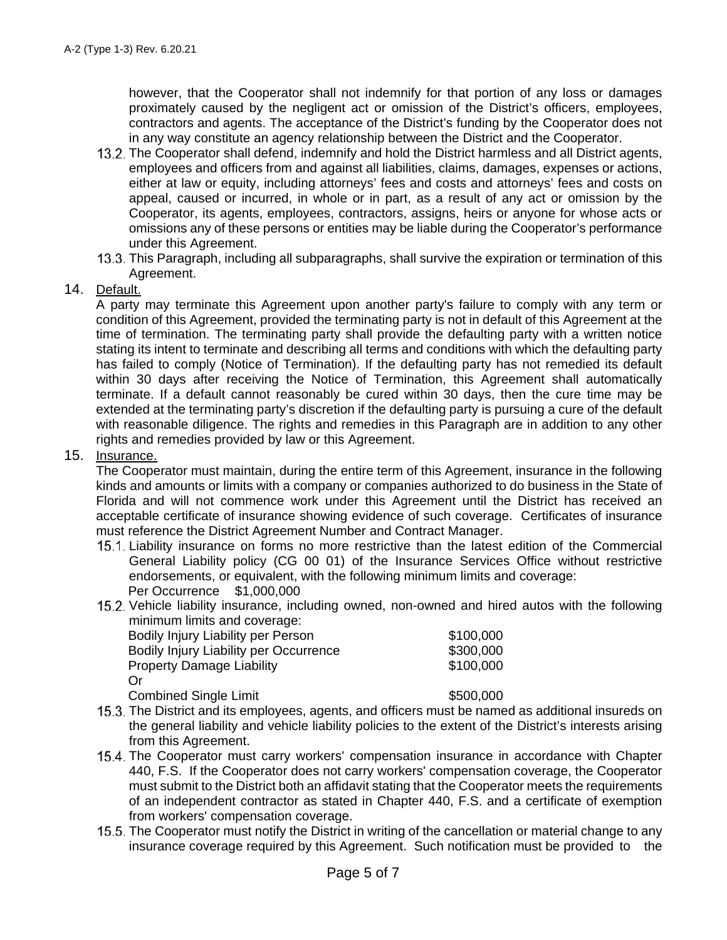however, that the Cooperator shall not indemnify for that portion of any loss or damages proximately caused by the negligent act or omission of the District's officers, employees, contractors and agents. The acceptance of the District's funding by the Cooperator does not in any way constitute an agency relationship between the District and the Cooperator.

- 13.2. The Cooperator shall defend, indemnify and hold the District harmless and all District agents, employees and officers from and against all liabilities, claims, damages, expenses or actions, either at law or equity, including attorneys' fees and costs and attorneys' fees and costs on appeal, caused or incurred, in whole or in part, as a result of any act or omission by the Cooperator, its agents, employees, contractors, assigns, heirs or anyone for whose acts or omissions any of these persons or entities may be liable during the Cooperator's performance under this Agreement.
- This Paragraph, including all subparagraphs, shall survive the expiration or termination of this Agreement.

### 14. Default.

A party may terminate this Agreement upon another party's failure to comply with any term or condition of this Agreement, provided the terminating party is not in default of this Agreement at the time of termination. The terminating party shall provide the defaulting party with a written notice stating its intent to terminate and describing all terms and conditions with which the defaulting party has failed to comply (Notice of Termination). If the defaulting party has not remedied its default within 30 days after receiving the Notice of Termination, this Agreement shall automatically terminate. If a default cannot reasonably be cured within 30 days, then the cure time may be extended at the terminating party's discretion if the defaulting party is pursuing a cure of the default with reasonable diligence. The rights and remedies in this Paragraph are in addition to any other rights and remedies provided by law or this Agreement.

#### 15. Insurance.

The Cooperator must maintain, during the entire term of this Agreement, insurance in the following kinds and amounts or limits with a company or companies authorized to do business in the State of Florida and will not commence work under this Agreement until the District has received an acceptable certificate of insurance showing evidence of such coverage. Certificates of insurance must reference the District Agreement Number and Contract Manager.

- Liability insurance on forms no more restrictive than the latest edition of the Commercial General Liability policy (CG 00 01) of the Insurance Services Office without restrictive endorsements, or equivalent, with the following minimum limits and coverage: Per Occurrence \$1,000,000
- 15.2. Vehicle liability insurance, including owned, non-owned and hired autos with the following minimum limits and coverage:

| Bodily Injury Liability per Person     | \$100,000 |
|----------------------------------------|-----------|
|                                        | \$300,000 |
| Bodily Injury Liability per Occurrence |           |
| <b>Property Damage Liability</b>       | \$100,000 |
| Ωr                                     |           |
| <b>Combined Single Limit</b>           | \$500,000 |

- 15.3. The District and its employees, agents, and officers must be named as additional insureds on the general liability and vehicle liability policies to the extent of the District's interests arising from this Agreement.
- 15.4. The Cooperator must carry workers' compensation insurance in accordance with Chapter 440, F.S. If the Cooperator does not carry workers' compensation coverage, the Cooperator must submit to the District both an affidavit stating that the Cooperator meets the requirements of an independent contractor as stated in Chapter 440, F.S. and a certificate of exemption from workers' compensation coverage.
- 15.5. The Cooperator must notify the District in writing of the cancellation or material change to any insurance coverage required by this Agreement. Such notification must be provided to the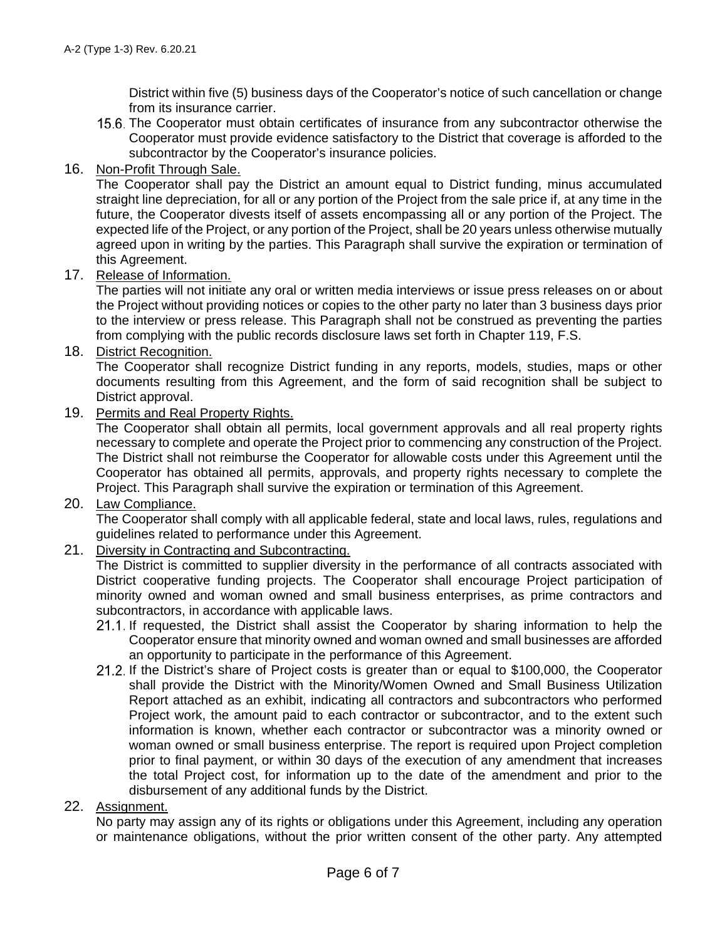District within five (5) business days of the Cooperator's notice of such cancellation or change from its insurance carrier.

The Cooperator must obtain certificates of insurance from any subcontractor otherwise the Cooperator must provide evidence satisfactory to the District that coverage is afforded to the subcontractor by the Cooperator's insurance policies.

### 16. Non-Profit Through Sale.

The Cooperator shall pay the District an amount equal to District funding, minus accumulated straight line depreciation, for all or any portion of the Project from the sale price if, at any time in the future, the Cooperator divests itself of assets encompassing all or any portion of the Project. The expected life of the Project, or any portion of the Project, shall be 20 years unless otherwise mutually agreed upon in writing by the parties. This Paragraph shall survive the expiration or termination of this Agreement.

17. Release of Information.

The parties will not initiate any oral or written media interviews or issue press releases on or about the Project without providing notices or copies to the other party no later than 3 business days prior to the interview or press release. This Paragraph shall not be construed as preventing the parties from complying with the public records disclosure laws set forth in Chapter 119, F.S.

18. District Recognition.

The Cooperator shall recognize District funding in any reports, models, studies, maps or other documents resulting from this Agreement, and the form of said recognition shall be subject to District approval.

19. Permits and Real Property Rights.

The Cooperator shall obtain all permits, local government approvals and all real property rights necessary to complete and operate the Project prior to commencing any construction of the Project. The District shall not reimburse the Cooperator for allowable costs under this Agreement until the Cooperator has obtained all permits, approvals, and property rights necessary to complete the Project. This Paragraph shall survive the expiration or termination of this Agreement.

20. Law Compliance.

The Cooperator shall comply with all applicable federal, state and local laws, rules, regulations and guidelines related to performance under this Agreement.

21. Diversity in Contracting and Subcontracting.

The District is committed to supplier diversity in the performance of all contracts associated with District cooperative funding projects. The Cooperator shall encourage Project participation of minority owned and woman owned and small business enterprises, as prime contractors and subcontractors, in accordance with applicable laws.

- 21.1. If requested, the District shall assist the Cooperator by sharing information to help the Cooperator ensure that minority owned and woman owned and small businesses are afforded an opportunity to participate in the performance of this Agreement.
- 21.2. If the District's share of Project costs is greater than or equal to \$100,000, the Cooperator shall provide the District with the Minority/Women Owned and Small Business Utilization Report attached as an exhibit, indicating all contractors and subcontractors who performed Project work, the amount paid to each contractor or subcontractor, and to the extent such information is known, whether each contractor or subcontractor was a minority owned or woman owned or small business enterprise. The report is required upon Project completion prior to final payment, or within 30 days of the execution of any amendment that increases the total Project cost, for information up to the date of the amendment and prior to the disbursement of any additional funds by the District.
- 22. Assignment.

No party may assign any of its rights or obligations under this Agreement, including any operation or maintenance obligations, without the prior written consent of the other party. Any attempted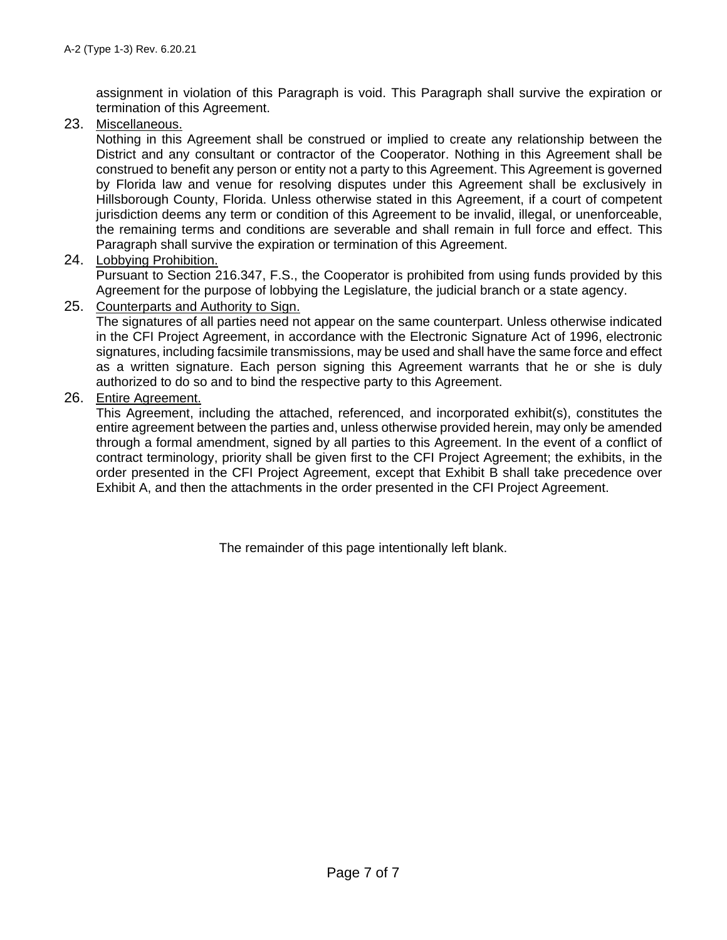assignment in violation of this Paragraph is void. This Paragraph shall survive the expiration or termination of this Agreement.

23. Miscellaneous.

Nothing in this Agreement shall be construed or implied to create any relationship between the District and any consultant or contractor of the Cooperator. Nothing in this Agreement shall be construed to benefit any person or entity not a party to this Agreement. This Agreement is governed by Florida law and venue for resolving disputes under this Agreement shall be exclusively in Hillsborough County, Florida. Unless otherwise stated in this Agreement, if a court of competent jurisdiction deems any term or condition of this Agreement to be invalid, illegal, or unenforceable, the remaining terms and conditions are severable and shall remain in full force and effect. This Paragraph shall survive the expiration or termination of this Agreement.

### 24. Lobbying Prohibition.

Pursuant to Section 216.347, F.S., the Cooperator is prohibited from using funds provided by this Agreement for the purpose of lobbying the Legislature, the judicial branch or a state agency.

### 25. Counterparts and Authority to Sign.

The signatures of all parties need not appear on the same counterpart. Unless otherwise indicated in the CFI Project Agreement, in accordance with the Electronic Signature Act of 1996, electronic signatures, including facsimile transmissions, may be used and shall have the same force and effect as a written signature. Each person signing this Agreement warrants that he or she is duly authorized to do so and to bind the respective party to this Agreement.

### 26. Entire Agreement.

This Agreement, including the attached, referenced, and incorporated exhibit(s), constitutes the entire agreement between the parties and, unless otherwise provided herein, may only be amended through a formal amendment, signed by all parties to this Agreement. In the event of a conflict of contract terminology, priority shall be given first to the CFI Project Agreement; the exhibits, in the order presented in the CFI Project Agreement, except that Exhibit B shall take precedence over Exhibit A, and then the attachments in the order presented in the CFI Project Agreement.

The remainder of this page intentionally left blank.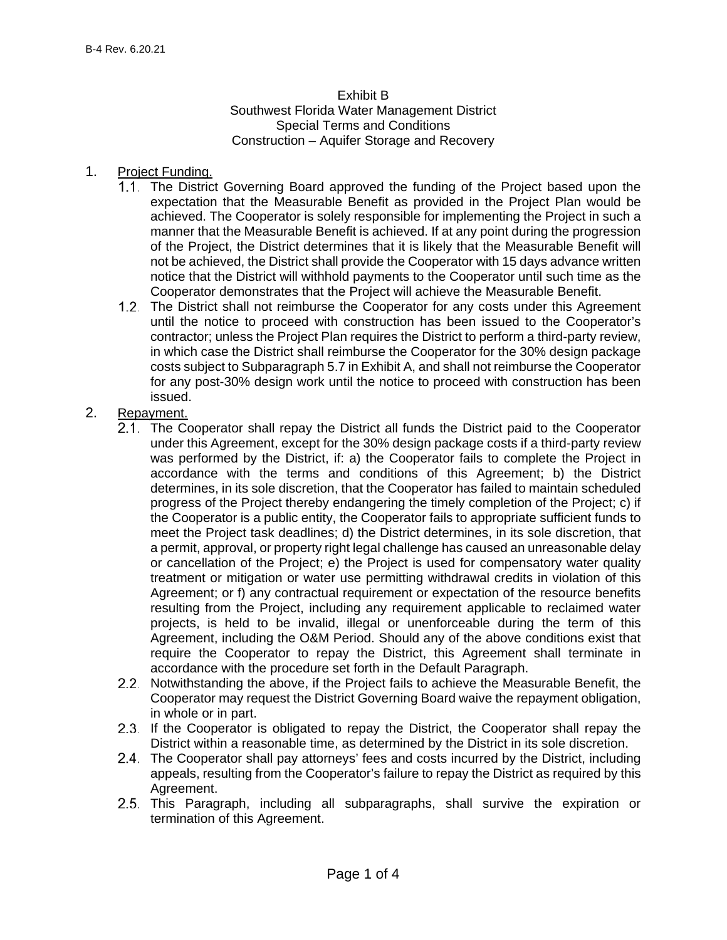### Exhibit B Southwest Florida Water Management District Special Terms and Conditions Construction – Aquifer Storage and Recovery

### 1. Project Funding.

- The District Governing Board approved the funding of the Project based upon the expectation that the Measurable Benefit as provided in the Project Plan would be achieved. The Cooperator is solely responsible for implementing the Project in such a manner that the Measurable Benefit is achieved. If at any point during the progression of the Project, the District determines that it is likely that the Measurable Benefit will not be achieved, the District shall provide the Cooperator with 15 days advance written notice that the District will withhold payments to the Cooperator until such time as the Cooperator demonstrates that the Project will achieve the Measurable Benefit.
- 1.2. The District shall not reimburse the Cooperator for any costs under this Agreement until the notice to proceed with construction has been issued to the Cooperator's contractor; unless the Project Plan requires the District to perform a third-party review, in which case the District shall reimburse the Cooperator for the 30% design package costs subject to Subparagraph 5.7 in Exhibit A, and shall not reimburse the Cooperator for any post-30% design work until the notice to proceed with construction has been issued.

### 2. Repayment.

- 2.1. The Cooperator shall repay the District all funds the District paid to the Cooperator under this Agreement, except for the 30% design package costs if a third-party review was performed by the District, if: a) the Cooperator fails to complete the Project in accordance with the terms and conditions of this Agreement; b) the District determines, in its sole discretion, that the Cooperator has failed to maintain scheduled progress of the Project thereby endangering the timely completion of the Project; c) if the Cooperator is a public entity, the Cooperator fails to appropriate sufficient funds to meet the Project task deadlines; d) the District determines, in its sole discretion, that a permit, approval, or property right legal challenge has caused an unreasonable delay or cancellation of the Project; e) the Project is used for compensatory water quality treatment or mitigation or water use permitting withdrawal credits in violation of this Agreement; or f) any contractual requirement or expectation of the resource benefits resulting from the Project, including any requirement applicable to reclaimed water projects, is held to be invalid, illegal or unenforceable during the term of this Agreement, including the O&M Period. Should any of the above conditions exist that require the Cooperator to repay the District, this Agreement shall terminate in accordance with the procedure set forth in the Default Paragraph.
- 2.2. Notwithstanding the above, if the Project fails to achieve the Measurable Benefit, the Cooperator may request the District Governing Board waive the repayment obligation, in whole or in part.
- 2.3. If the Cooperator is obligated to repay the District, the Cooperator shall repay the District within a reasonable time, as determined by the District in its sole discretion.
- The Cooperator shall pay attorneys' fees and costs incurred by the District, including appeals, resulting from the Cooperator's failure to repay the District as required by this Agreement.
- 2.5. This Paragraph, including all subparagraphs, shall survive the expiration or termination of this Agreement.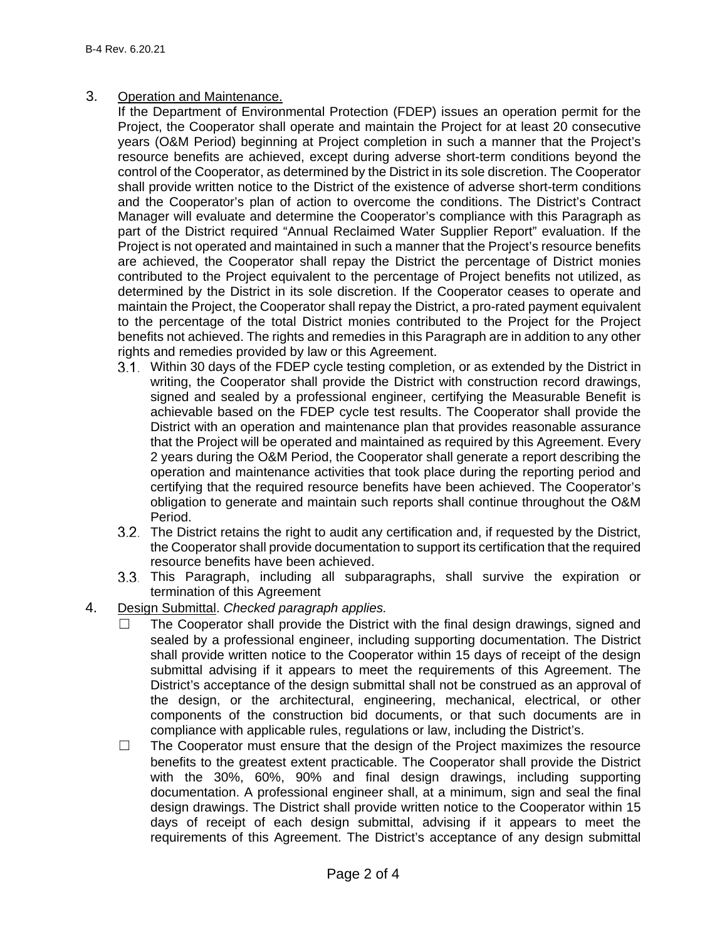3. Operation and Maintenance.

If the Department of Environmental Protection (FDEP) issues an operation permit for the Project, the Cooperator shall operate and maintain the Project for at least 20 consecutive years (O&M Period) beginning at Project completion in such a manner that the Project's resource benefits are achieved, except during adverse short-term conditions beyond the control of the Cooperator, as determined by the District in its sole discretion. The Cooperator shall provide written notice to the District of the existence of adverse short-term conditions and the Cooperator's plan of action to overcome the conditions. The District's Contract Manager will evaluate and determine the Cooperator's compliance with this Paragraph as part of the District required "Annual Reclaimed Water Supplier Report" evaluation. If the Project is not operated and maintained in such a manner that the Project's resource benefits are achieved, the Cooperator shall repay the District the percentage of District monies contributed to the Project equivalent to the percentage of Project benefits not utilized, as determined by the District in its sole discretion. If the Cooperator ceases to operate and maintain the Project, the Cooperator shall repay the District, a pro-rated payment equivalent to the percentage of the total District monies contributed to the Project for the Project benefits not achieved. The rights and remedies in this Paragraph are in addition to any other rights and remedies provided by law or this Agreement.

- Within 30 days of the FDEP cycle testing completion, or as extended by the District in writing, the Cooperator shall provide the District with construction record drawings, signed and sealed by a professional engineer, certifying the Measurable Benefit is achievable based on the FDEP cycle test results. The Cooperator shall provide the District with an operation and maintenance plan that provides reasonable assurance that the Project will be operated and maintained as required by this Agreement. Every 2 years during the O&M Period, the Cooperator shall generate a report describing the operation and maintenance activities that took place during the reporting period and certifying that the required resource benefits have been achieved. The Cooperator's obligation to generate and maintain such reports shall continue throughout the O&M Period.
- The District retains the right to audit any certification and, if requested by the District, the Cooperator shall provide documentation to support its certification that the required resource benefits have been achieved.
- 3.3. This Paragraph, including all subparagraphs, shall survive the expiration or termination of this Agreement
- 4. Design Submittal. *Checked paragraph applies.*
	- The Cooperator shall provide the District with the final design drawings, signed and sealed by a professional engineer, including supporting documentation. The District shall provide written notice to the Cooperator within 15 days of receipt of the design submittal advising if it appears to meet the requirements of this Agreement. The District's acceptance of the design submittal shall not be construed as an approval of the design, or the architectural, engineering, mechanical, electrical, or other components of the construction bid documents, or that such documents are in compliance with applicable rules, regulations or law, including the District's.
	- $\Box$  The Cooperator must ensure that the design of the Project maximizes the resource benefits to the greatest extent practicable. The Cooperator shall provide the District with the 30%, 60%, 90% and final design drawings, including supporting documentation. A professional engineer shall, at a minimum, sign and seal the final design drawings. The District shall provide written notice to the Cooperator within 15 days of receipt of each design submittal, advising if it appears to meet the requirements of this Agreement. The District's acceptance of any design submittal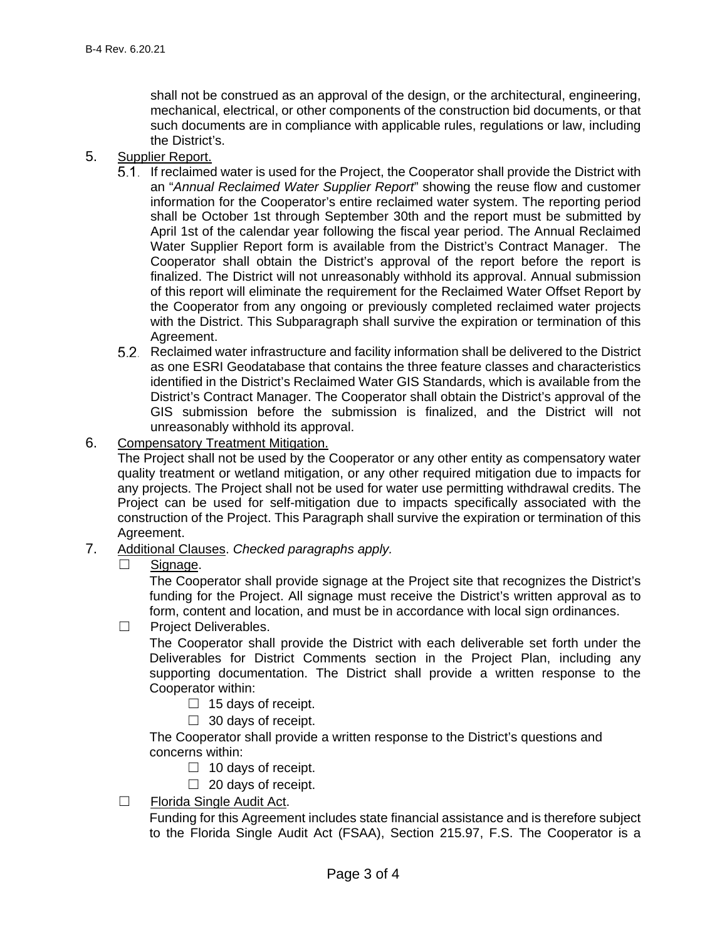shall not be construed as an approval of the design, or the architectural, engineering, mechanical, electrical, or other components of the construction bid documents, or that such documents are in compliance with applicable rules, regulations or law, including the District's.

### 5. Supplier Report.

- If reclaimed water is used for the Project, the Cooperator shall provide the District with an "*Annual Reclaimed Water Supplier Report*" showing the reuse flow and customer information for the Cooperator's entire reclaimed water system. The reporting period shall be October 1st through September 30th and the report must be submitted by April 1st of the calendar year following the fiscal year period. The Annual Reclaimed Water Supplier Report form is available from the District's Contract Manager. The Cooperator shall obtain the District's approval of the report before the report is finalized. The District will not unreasonably withhold its approval. Annual submission of this report will eliminate the requirement for the Reclaimed Water Offset Report by the Cooperator from any ongoing or previously completed reclaimed water projects with the District. This Subparagraph shall survive the expiration or termination of this Agreement.
- Reclaimed water infrastructure and facility information shall be delivered to the District as one ESRI Geodatabase that contains the three feature classes and characteristics identified in the District's Reclaimed Water GIS Standards, which is available from the District's Contract Manager. The Cooperator shall obtain the District's approval of the GIS submission before the submission is finalized, and the District will not unreasonably withhold its approval.
- 6. Compensatory Treatment Mitigation.

The Project shall not be used by the Cooperator or any other entity as compensatory water quality treatment or wetland mitigation, or any other required mitigation due to impacts for any projects. The Project shall not be used for water use permitting withdrawal credits. The Project can be used for self-mitigation due to impacts specifically associated with the construction of the Project. This Paragraph shall survive the expiration or termination of this Agreement.

- 7. Additional Clauses. *Checked paragraphs apply.*
	- ☐ Signage.

The Cooperator shall provide signage at the Project site that recognizes the District's funding for the Project. All signage must receive the District's written approval as to form, content and location, and must be in accordance with local sign ordinances.

☐ Project Deliverables.

The Cooperator shall provide the District with each deliverable set forth under the Deliverables for District Comments section in the Project Plan, including any supporting documentation. The District shall provide a written response to the Cooperator within:

- $\Box$  15 days of receipt.
- $\Box$  30 days of receipt.

The Cooperator shall provide a written response to the District's questions and concerns within:

- $\Box$  10 days of receipt.
- $\Box$  20 days of receipt.
- ☐ Florida Single Audit Act.

Funding for this Agreement includes state financial assistance and is therefore subject to the Florida Single Audit Act (FSAA), Section 215.97, F.S. The Cooperator is a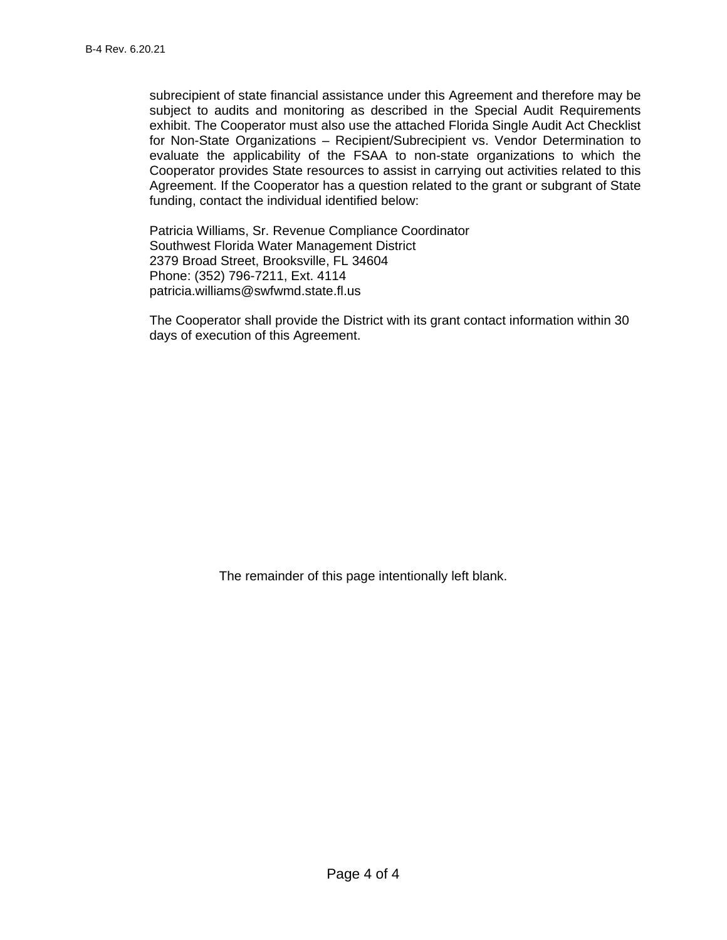subrecipient of state financial assistance under this Agreement and therefore may be subject to audits and monitoring as described in the Special Audit Requirements exhibit. The Cooperator must also use the attached Florida Single Audit Act Checklist for Non-State Organizations – Recipient/Subrecipient vs. Vendor Determination to evaluate the applicability of the FSAA to non-state organizations to which the Cooperator provides State resources to assist in carrying out activities related to this Agreement. If the Cooperator has a question related to the grant or subgrant of State funding, contact the individual identified below:

Patricia Williams, Sr. Revenue Compliance Coordinator Southwest Florida Water Management District 2379 Broad Street, Brooksville, FL 34604 Phone: (352) 796-7211, Ext. 4114 patricia.williams@swfwmd.state.fl.us

The Cooperator shall provide the District with its grant contact information within 30 days of execution of this Agreement.

The remainder of this page intentionally left blank.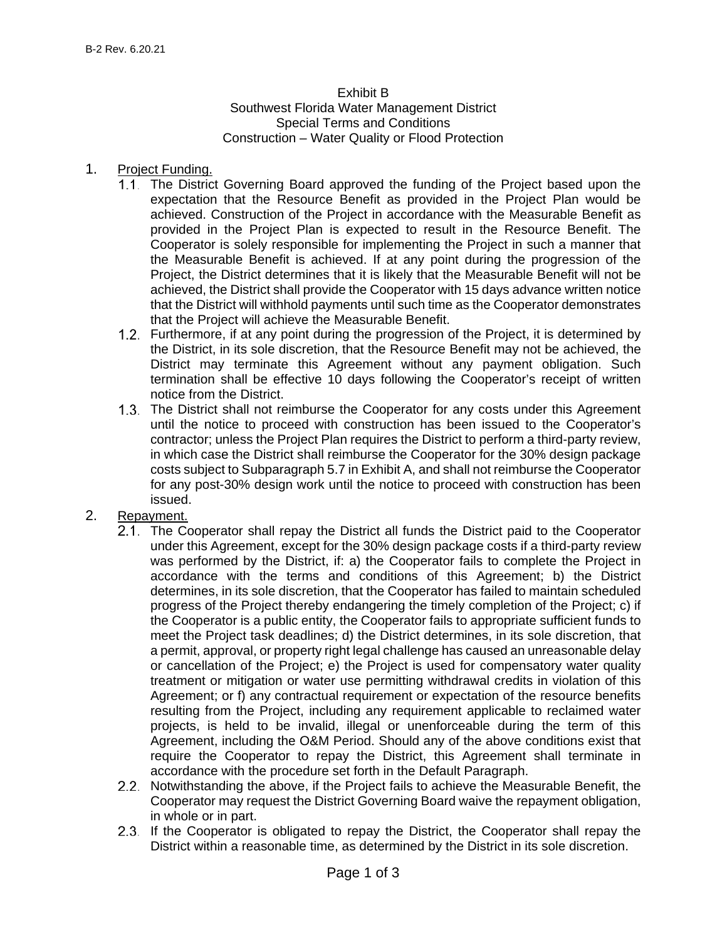#### Exhibit B Southwest Florida Water Management District

# Special Terms and Conditions Construction – Water Quality or Flood Protection

#### 1. Project Funding.

- The District Governing Board approved the funding of the Project based upon the expectation that the Resource Benefit as provided in the Project Plan would be achieved. Construction of the Project in accordance with the Measurable Benefit as provided in the Project Plan is expected to result in the Resource Benefit. The Cooperator is solely responsible for implementing the Project in such a manner that the Measurable Benefit is achieved. If at any point during the progression of the Project, the District determines that it is likely that the Measurable Benefit will not be achieved, the District shall provide the Cooperator with 15 days advance written notice that the District will withhold payments until such time as the Cooperator demonstrates that the Project will achieve the Measurable Benefit.
- 1.2. Furthermore, if at any point during the progression of the Project, it is determined by the District, in its sole discretion, that the Resource Benefit may not be achieved, the District may terminate this Agreement without any payment obligation. Such termination shall be effective 10 days following the Cooperator's receipt of written notice from the District.
- The District shall not reimburse the Cooperator for any costs under this Agreement until the notice to proceed with construction has been issued to the Cooperator's contractor; unless the Project Plan requires the District to perform a third-party review, in which case the District shall reimburse the Cooperator for the 30% design package costs subject to Subparagraph 5.7 in Exhibit A, and shall not reimburse the Cooperator for any post-30% design work until the notice to proceed with construction has been issued.

### 2. Repayment.

- 2.1. The Cooperator shall repay the District all funds the District paid to the Cooperator under this Agreement, except for the 30% design package costs if a third-party review was performed by the District, if: a) the Cooperator fails to complete the Project in accordance with the terms and conditions of this Agreement; b) the District determines, in its sole discretion, that the Cooperator has failed to maintain scheduled progress of the Project thereby endangering the timely completion of the Project; c) if the Cooperator is a public entity, the Cooperator fails to appropriate sufficient funds to meet the Project task deadlines; d) the District determines, in its sole discretion, that a permit, approval, or property right legal challenge has caused an unreasonable delay or cancellation of the Project; e) the Project is used for compensatory water quality treatment or mitigation or water use permitting withdrawal credits in violation of this Agreement; or f) any contractual requirement or expectation of the resource benefits resulting from the Project, including any requirement applicable to reclaimed water projects, is held to be invalid, illegal or unenforceable during the term of this Agreement, including the O&M Period. Should any of the above conditions exist that require the Cooperator to repay the District, this Agreement shall terminate in accordance with the procedure set forth in the Default Paragraph.
- 2.2. Notwithstanding the above, if the Project fails to achieve the Measurable Benefit, the Cooperator may request the District Governing Board waive the repayment obligation, in whole or in part.
- 2.3. If the Cooperator is obligated to repay the District, the Cooperator shall repay the District within a reasonable time, as determined by the District in its sole discretion.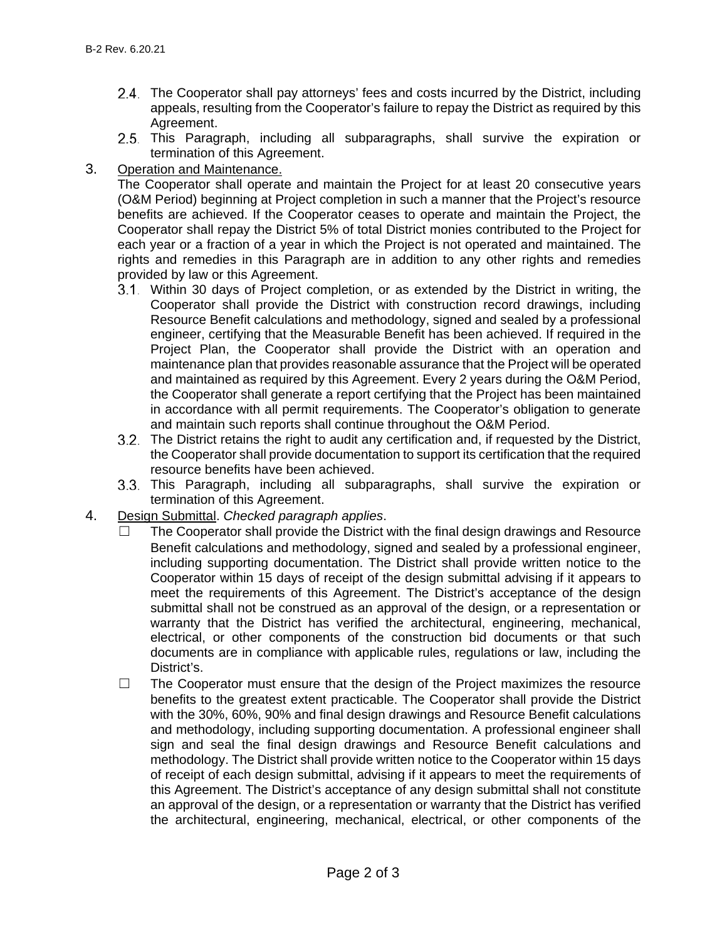- The Cooperator shall pay attorneys' fees and costs incurred by the District, including appeals, resulting from the Cooperator's failure to repay the District as required by this Agreement.
- 2.5. This Paragraph, including all subparagraphs, shall survive the expiration or termination of this Agreement.
- 3. Operation and Maintenance.

The Cooperator shall operate and maintain the Project for at least 20 consecutive years (O&M Period) beginning at Project completion in such a manner that the Project's resource benefits are achieved. If the Cooperator ceases to operate and maintain the Project, the Cooperator shall repay the District 5% of total District monies contributed to the Project for each year or a fraction of a year in which the Project is not operated and maintained. The rights and remedies in this Paragraph are in addition to any other rights and remedies provided by law or this Agreement.

- Within 30 days of Project completion, or as extended by the District in writing, the Cooperator shall provide the District with construction record drawings, including Resource Benefit calculations and methodology, signed and sealed by a professional engineer, certifying that the Measurable Benefit has been achieved. If required in the Project Plan, the Cooperator shall provide the District with an operation and maintenance plan that provides reasonable assurance that the Project will be operated and maintained as required by this Agreement. Every 2 years during the O&M Period, the Cooperator shall generate a report certifying that the Project has been maintained in accordance with all permit requirements. The Cooperator's obligation to generate and maintain such reports shall continue throughout the O&M Period.
- The District retains the right to audit any certification and, if requested by the District, the Cooperator shall provide documentation to support its certification that the required resource benefits have been achieved.
- This Paragraph, including all subparagraphs, shall survive the expiration or termination of this Agreement.
- 4. Design Submittal. *Checked paragraph applies*.
	- The Cooperator shall provide the District with the final design drawings and Resource Benefit calculations and methodology, signed and sealed by a professional engineer, including supporting documentation. The District shall provide written notice to the Cooperator within 15 days of receipt of the design submittal advising if it appears to meet the requirements of this Agreement. The District's acceptance of the design submittal shall not be construed as an approval of the design, or a representation or warranty that the District has verified the architectural, engineering, mechanical, electrical, or other components of the construction bid documents or that such documents are in compliance with applicable rules, regulations or law, including the District's.
	- $\Box$  The Cooperator must ensure that the design of the Project maximizes the resource benefits to the greatest extent practicable. The Cooperator shall provide the District with the 30%, 60%, 90% and final design drawings and Resource Benefit calculations and methodology, including supporting documentation. A professional engineer shall sign and seal the final design drawings and Resource Benefit calculations and methodology. The District shall provide written notice to the Cooperator within 15 days of receipt of each design submittal, advising if it appears to meet the requirements of this Agreement. The District's acceptance of any design submittal shall not constitute an approval of the design, or a representation or warranty that the District has verified the architectural, engineering, mechanical, electrical, or other components of the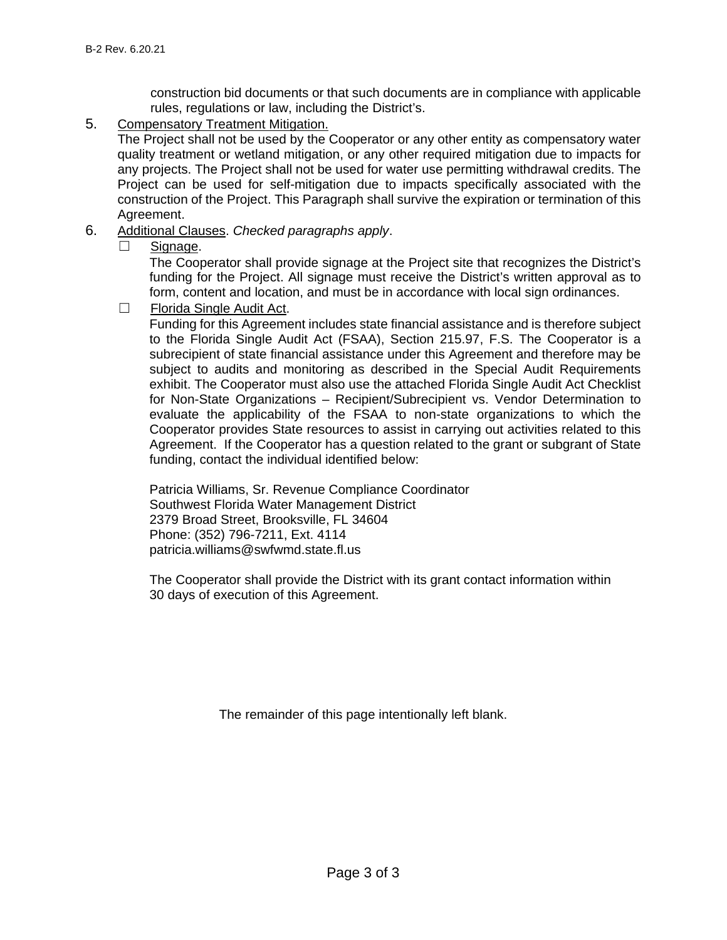construction bid documents or that such documents are in compliance with applicable rules, regulations or law, including the District's.

5. Compensatory Treatment Mitigation.

The Project shall not be used by the Cooperator or any other entity as compensatory water quality treatment or wetland mitigation, or any other required mitigation due to impacts for any projects. The Project shall not be used for water use permitting withdrawal credits. The Project can be used for self-mitigation due to impacts specifically associated with the construction of the Project. This Paragraph shall survive the expiration or termination of this Agreement.

- 6. Additional Clauses. *Checked paragraphs apply*.
	- ☐ Signage.

The Cooperator shall provide signage at the Project site that recognizes the District's funding for the Project. All signage must receive the District's written approval as to form, content and location, and must be in accordance with local sign ordinances.

☐ Florida Single Audit Act.

Funding for this Agreement includes state financial assistance and is therefore subject to the Florida Single Audit Act (FSAA), Section 215.97, F.S. The Cooperator is a subrecipient of state financial assistance under this Agreement and therefore may be subject to audits and monitoring as described in the Special Audit Requirements exhibit. The Cooperator must also use the attached Florida Single Audit Act Checklist for Non-State Organizations – Recipient/Subrecipient vs. Vendor Determination to evaluate the applicability of the FSAA to non-state organizations to which the Cooperator provides State resources to assist in carrying out activities related to this Agreement. If the Cooperator has a question related to the grant or subgrant of State funding, contact the individual identified below:

Patricia Williams, Sr. Revenue Compliance Coordinator Southwest Florida Water Management District 2379 Broad Street, Brooksville, FL 34604 Phone: (352) 796-7211, Ext. 4114 patricia.williams@swfwmd.state.fl.us

The Cooperator shall provide the District with its grant contact information within 30 days of execution of this Agreement.

The remainder of this page intentionally left blank.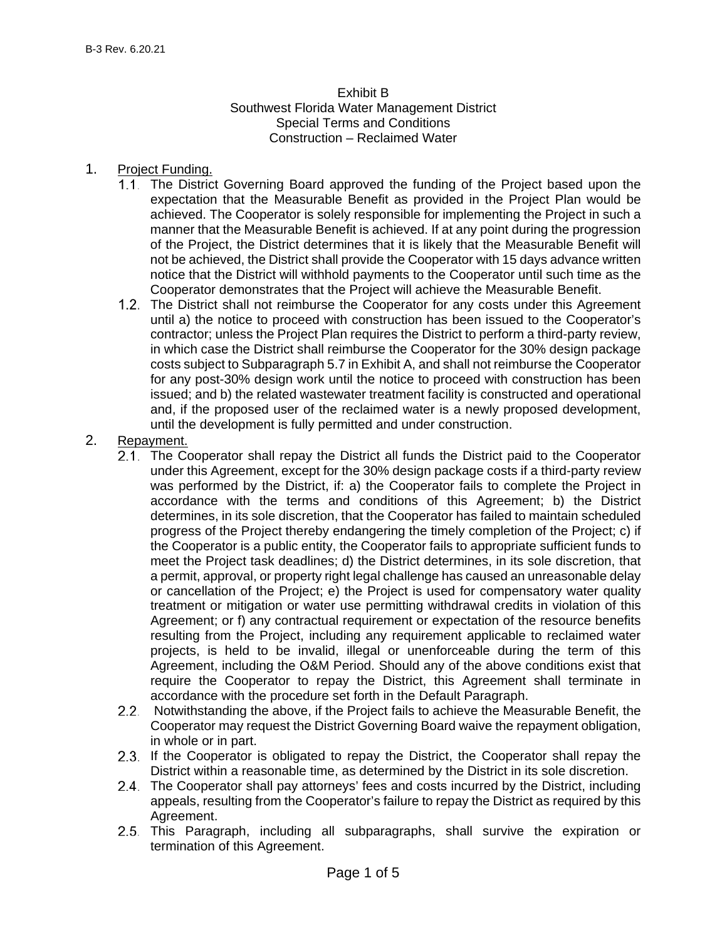### Exhibit B Southwest Florida Water Management District Special Terms and Conditions Construction – Reclaimed Water

#### 1. Project Funding.

- The District Governing Board approved the funding of the Project based upon the expectation that the Measurable Benefit as provided in the Project Plan would be achieved. The Cooperator is solely responsible for implementing the Project in such a manner that the Measurable Benefit is achieved. If at any point during the progression of the Project, the District determines that it is likely that the Measurable Benefit will not be achieved, the District shall provide the Cooperator with 15 days advance written notice that the District will withhold payments to the Cooperator until such time as the Cooperator demonstrates that the Project will achieve the Measurable Benefit.
- The District shall not reimburse the Cooperator for any costs under this Agreement until a) the notice to proceed with construction has been issued to the Cooperator's contractor; unless the Project Plan requires the District to perform a third-party review, in which case the District shall reimburse the Cooperator for the 30% design package costs subject to Subparagraph 5.7 in Exhibit A, and shall not reimburse the Cooperator for any post-30% design work until the notice to proceed with construction has been issued; and b) the related wastewater treatment facility is constructed and operational and, if the proposed user of the reclaimed water is a newly proposed development, until the development is fully permitted and under construction.

### 2. Repayment.

- 2.1. The Cooperator shall repay the District all funds the District paid to the Cooperator under this Agreement, except for the 30% design package costs if a third-party review was performed by the District, if: a) the Cooperator fails to complete the Project in accordance with the terms and conditions of this Agreement; b) the District determines, in its sole discretion, that the Cooperator has failed to maintain scheduled progress of the Project thereby endangering the timely completion of the Project; c) if the Cooperator is a public entity, the Cooperator fails to appropriate sufficient funds to meet the Project task deadlines; d) the District determines, in its sole discretion, that a permit, approval, or property right legal challenge has caused an unreasonable delay or cancellation of the Project; e) the Project is used for compensatory water quality treatment or mitigation or water use permitting withdrawal credits in violation of this Agreement; or f) any contractual requirement or expectation of the resource benefits resulting from the Project, including any requirement applicable to reclaimed water projects, is held to be invalid, illegal or unenforceable during the term of this Agreement, including the O&M Period. Should any of the above conditions exist that require the Cooperator to repay the District, this Agreement shall terminate in accordance with the procedure set forth in the Default Paragraph.
- 2.2. Notwithstanding the above, if the Project fails to achieve the Measurable Benefit, the Cooperator may request the District Governing Board waive the repayment obligation, in whole or in part.
- 2.3. If the Cooperator is obligated to repay the District, the Cooperator shall repay the District within a reasonable time, as determined by the District in its sole discretion.
- 2.4. The Cooperator shall pay attorneys' fees and costs incurred by the District, including appeals, resulting from the Cooperator's failure to repay the District as required by this Agreement.
- 2.5. This Paragraph, including all subparagraphs, shall survive the expiration or termination of this Agreement.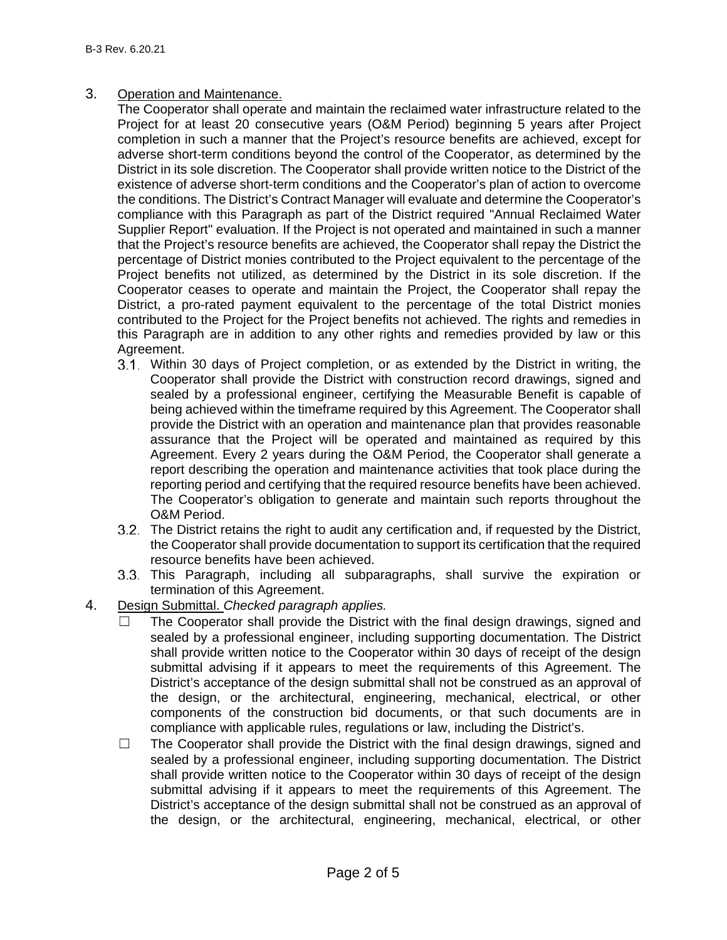### 3. Operation and Maintenance.

The Cooperator shall operate and maintain the reclaimed water infrastructure related to the Project for at least 20 consecutive years (O&M Period) beginning 5 years after Project completion in such a manner that the Project's resource benefits are achieved, except for adverse short-term conditions beyond the control of the Cooperator, as determined by the District in its sole discretion. The Cooperator shall provide written notice to the District of the existence of adverse short-term conditions and the Cooperator's plan of action to overcome the conditions. The District's Contract Manager will evaluate and determine the Cooperator's compliance with this Paragraph as part of the District required "Annual Reclaimed Water Supplier Report" evaluation. If the Project is not operated and maintained in such a manner that the Project's resource benefits are achieved, the Cooperator shall repay the District the percentage of District monies contributed to the Project equivalent to the percentage of the Project benefits not utilized, as determined by the District in its sole discretion. If the Cooperator ceases to operate and maintain the Project, the Cooperator shall repay the District, a pro-rated payment equivalent to the percentage of the total District monies contributed to the Project for the Project benefits not achieved. The rights and remedies in this Paragraph are in addition to any other rights and remedies provided by law or this Agreement.

- Within 30 days of Project completion, or as extended by the District in writing, the Cooperator shall provide the District with construction record drawings, signed and sealed by a professional engineer, certifying the Measurable Benefit is capable of being achieved within the timeframe required by this Agreement. The Cooperator shall provide the District with an operation and maintenance plan that provides reasonable assurance that the Project will be operated and maintained as required by this Agreement. Every 2 years during the O&M Period, the Cooperator shall generate a report describing the operation and maintenance activities that took place during the reporting period and certifying that the required resource benefits have been achieved. The Cooperator's obligation to generate and maintain such reports throughout the O&M Period.
- The District retains the right to audit any certification and, if requested by the District, the Cooperator shall provide documentation to support its certification that the required resource benefits have been achieved.
- 3.3. This Paragraph, including all subparagraphs, shall survive the expiration or termination of this Agreement.
- 4. Design Submittal. *Checked paragraph applies.*
	- ☐ The Cooperator shall provide the District with the final design drawings, signed and sealed by a professional engineer, including supporting documentation. The District shall provide written notice to the Cooperator within 30 days of receipt of the design submittal advising if it appears to meet the requirements of this Agreement. The District's acceptance of the design submittal shall not be construed as an approval of the design, or the architectural, engineering, mechanical, electrical, or other components of the construction bid documents, or that such documents are in compliance with applicable rules, regulations or law, including the District's.
	- ☐ The Cooperator shall provide the District with the final design drawings, signed and sealed by a professional engineer, including supporting documentation. The District shall provide written notice to the Cooperator within 30 days of receipt of the design submittal advising if it appears to meet the requirements of this Agreement. The District's acceptance of the design submittal shall not be construed as an approval of the design, or the architectural, engineering, mechanical, electrical, or other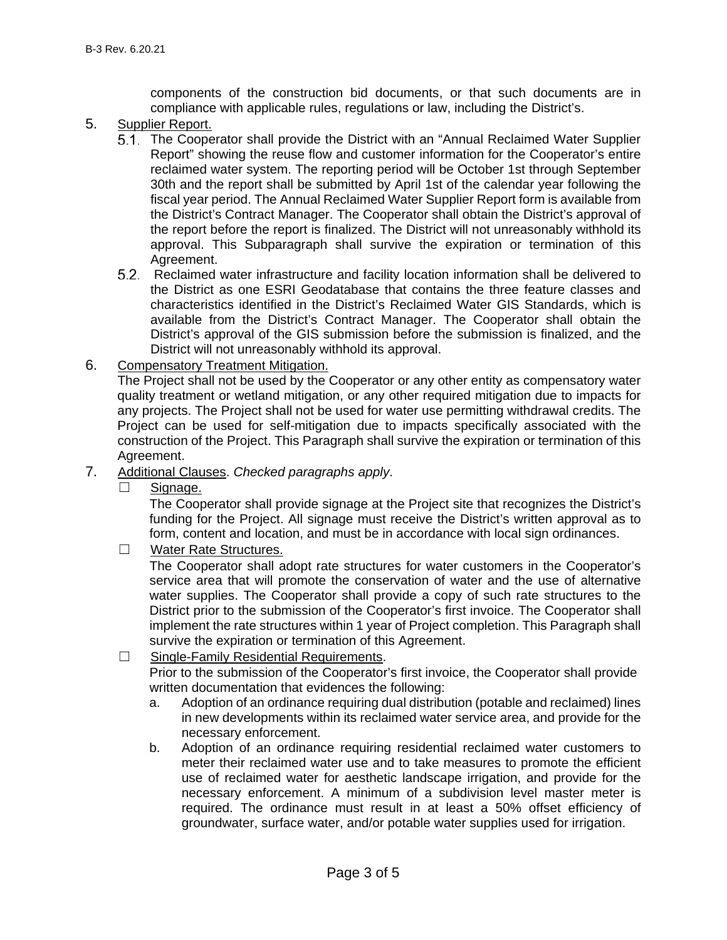components of the construction bid documents, or that such documents are in compliance with applicable rules, regulations or law, including the District's.

- 5. Supplier Report.
	- The Cooperator shall provide the District with an "Annual Reclaimed Water Supplier Report" showing the reuse flow and customer information for the Cooperator's entire reclaimed water system. The reporting period will be October 1st through September 30th and the report shall be submitted by April 1st of the calendar year following the fiscal year period. The Annual Reclaimed Water Supplier Report form is available from the District's Contract Manager. The Cooperator shall obtain the District's approval of the report before the report is finalized. The District will not unreasonably withhold its approval. This Subparagraph shall survive the expiration or termination of this Agreement.
	- 5.2. Reclaimed water infrastructure and facility location information shall be delivered to the District as one ESRI Geodatabase that contains the three feature classes and characteristics identified in the District's Reclaimed Water GIS Standards, which is available from the District's Contract Manager. The Cooperator shall obtain the District's approval of the GIS submission before the submission is finalized, and the District will not unreasonably withhold its approval.
- 6. Compensatory Treatment Mitigation.

The Project shall not be used by the Cooperator or any other entity as compensatory water quality treatment or wetland mitigation, or any other required mitigation due to impacts for any projects. The Project shall not be used for water use permitting withdrawal credits. The Project can be used for self-mitigation due to impacts specifically associated with the construction of the Project. This Paragraph shall survive the expiration or termination of this Agreement.

- 7. Additional Clauses. *Checked paragraphs apply*.
	- Signage.

The Cooperator shall provide signage at the Project site that recognizes the District's funding for the Project. All signage must receive the District's written approval as to form, content and location, and must be in accordance with local sign ordinances.

☐ Water Rate Structures.

The Cooperator shall adopt rate structures for water customers in the Cooperator's service area that will promote the conservation of water and the use of alternative water supplies. The Cooperator shall provide a copy of such rate structures to the District prior to the submission of the Cooperator's first invoice. The Cooperator shall implement the rate structures within 1 year of Project completion. This Paragraph shall survive the expiration or termination of this Agreement.

- ☐ Single-Family Residential Requirements. Prior to the submission of the Cooperator's first invoice, the Cooperator shall provide written documentation that evidences the following:
	- a. Adoption of an ordinance requiring dual distribution (potable and reclaimed) lines in new developments within its reclaimed water service area, and provide for the necessary enforcement.
	- b. Adoption of an ordinance requiring residential reclaimed water customers to meter their reclaimed water use and to take measures to promote the efficient use of reclaimed water for aesthetic landscape irrigation, and provide for the necessary enforcement. A minimum of a subdivision level master meter is required. The ordinance must result in at least a 50% offset efficiency of groundwater, surface water, and/or potable water supplies used for irrigation.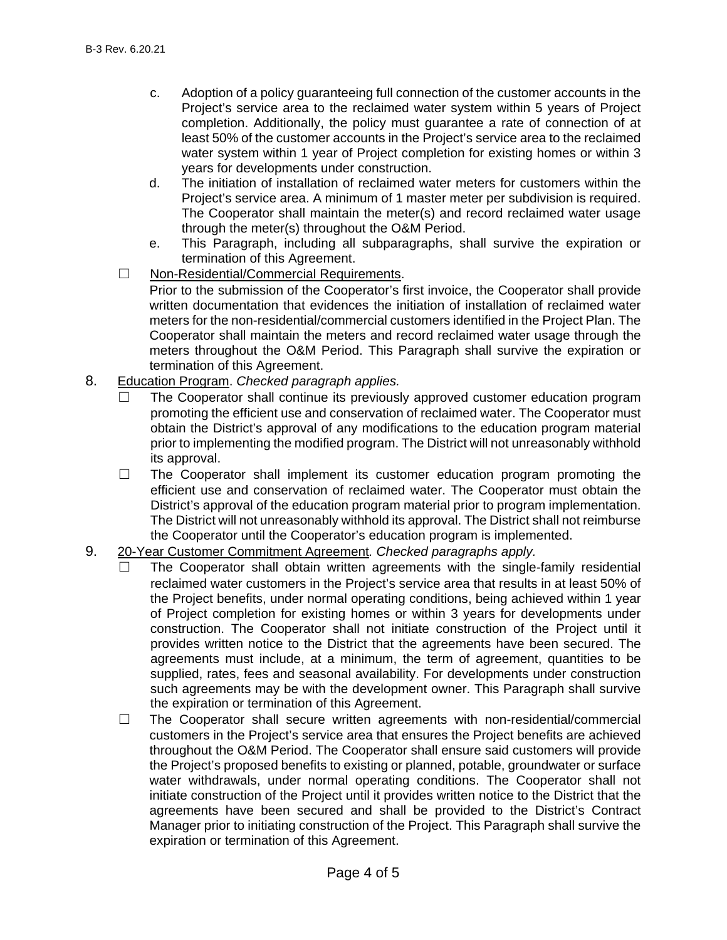- c. Adoption of a policy guaranteeing full connection of the customer accounts in the Project's service area to the reclaimed water system within 5 years of Project completion. Additionally, the policy must guarantee a rate of connection of at least 50% of the customer accounts in the Project's service area to the reclaimed water system within 1 year of Project completion for existing homes or within 3 years for developments under construction.
- d. The initiation of installation of reclaimed water meters for customers within the Project's service area. A minimum of 1 master meter per subdivision is required. The Cooperator shall maintain the meter(s) and record reclaimed water usage through the meter(s) throughout the O&M Period.
- e. This Paragraph, including all subparagraphs, shall survive the expiration or termination of this Agreement.
- ☐ Non-Residential/Commercial Requirements.

Prior to the submission of the Cooperator's first invoice, the Cooperator shall provide written documentation that evidences the initiation of installation of reclaimed water meters for the non-residential/commercial customers identified in the Project Plan. The Cooperator shall maintain the meters and record reclaimed water usage through the meters throughout the O&M Period. This Paragraph shall survive the expiration or termination of this Agreement.

- 8. Education Program. *Checked paragraph applies.*
	- The Cooperator shall continue its previously approved customer education program promoting the efficient use and conservation of reclaimed water. The Cooperator must obtain the District's approval of any modifications to the education program material prior to implementing the modified program. The District will not unreasonably withhold its approval.
	- $\Box$  The Cooperator shall implement its customer education program promoting the efficient use and conservation of reclaimed water. The Cooperator must obtain the District's approval of the education program material prior to program implementation. The District will not unreasonably withhold its approval. The District shall not reimburse the Cooperator until the Cooperator's education program is implemented.
- 9. 20-Year Customer Commitment Agreement*. Checked paragraphs apply.*
	- The Cooperator shall obtain written agreements with the single-family residential reclaimed water customers in the Project's service area that results in at least 50% of the Project benefits, under normal operating conditions, being achieved within 1 year of Project completion for existing homes or within 3 years for developments under construction. The Cooperator shall not initiate construction of the Project until it provides written notice to the District that the agreements have been secured. The agreements must include, at a minimum, the term of agreement, quantities to be supplied, rates, fees and seasonal availability. For developments under construction such agreements may be with the development owner. This Paragraph shall survive the expiration or termination of this Agreement.
	- $\Box$  The Cooperator shall secure written agreements with non-residential/commercial customers in the Project's service area that ensures the Project benefits are achieved throughout the O&M Period. The Cooperator shall ensure said customers will provide the Project's proposed benefits to existing or planned, potable, groundwater or surface water withdrawals, under normal operating conditions. The Cooperator shall not initiate construction of the Project until it provides written notice to the District that the agreements have been secured and shall be provided to the District's Contract Manager prior to initiating construction of the Project. This Paragraph shall survive the expiration or termination of this Agreement.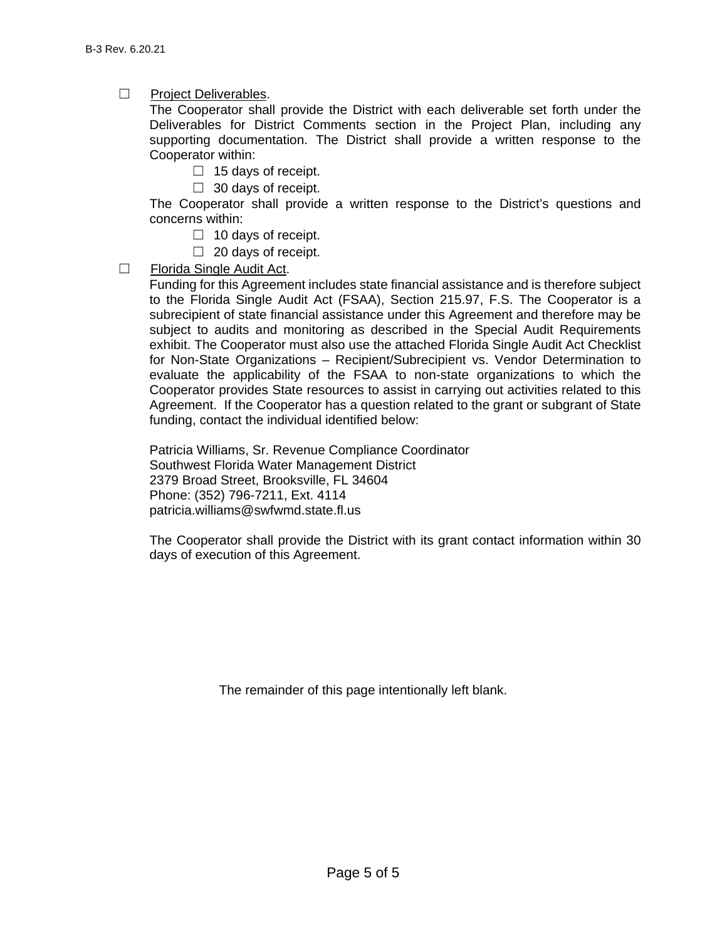☐ Project Deliverables.

The Cooperator shall provide the District with each deliverable set forth under the Deliverables for District Comments section in the Project Plan, including any supporting documentation. The District shall provide a written response to the Cooperator within:

- $\Box$  15 days of receipt.
- $\Box$  30 days of receipt.

The Cooperator shall provide a written response to the District's questions and concerns within:

- $\Box$  10 days of receipt.
- $\Box$  20 days of receipt.
- ☐ Florida Single Audit Act.

Funding for this Agreement includes state financial assistance and is therefore subject to the Florida Single Audit Act (FSAA), Section 215.97, F.S. The Cooperator is a subrecipient of state financial assistance under this Agreement and therefore may be subject to audits and monitoring as described in the Special Audit Requirements exhibit. The Cooperator must also use the attached Florida Single Audit Act Checklist for Non-State Organizations – Recipient/Subrecipient vs. Vendor Determination to evaluate the applicability of the FSAA to non-state organizations to which the Cooperator provides State resources to assist in carrying out activities related to this Agreement. If the Cooperator has a question related to the grant or subgrant of State funding, contact the individual identified below:

Patricia Williams, Sr. Revenue Compliance Coordinator Southwest Florida Water Management District 2379 Broad Street, Brooksville, FL 34604 Phone: (352) 796-7211, Ext. 4114 [patricia.williams@swfwmd.state.fl.us](mailto:patricia.williams@swfwmd.state.fl.us)

The Cooperator shall provide the District with its grant contact information within 30 days of execution of this Agreement.

The remainder of this page intentionally left blank.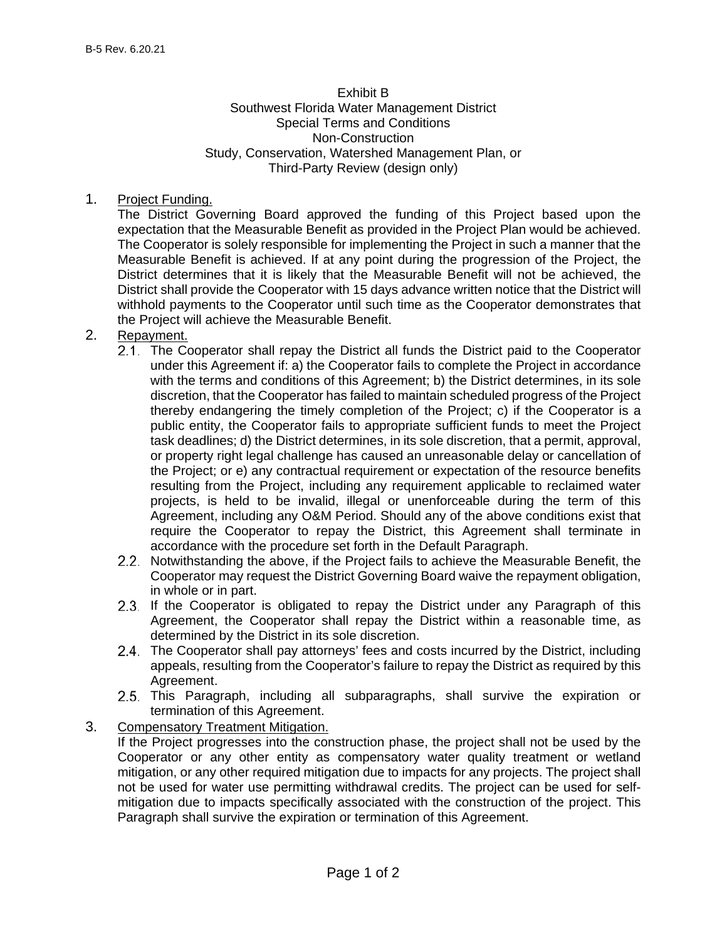#### Exhibit B Southwest Florida Water Management District Special Terms and Conditions Non-Construction Study, Conservation, Watershed Management Plan, or Third-Party Review (design only)

1. Project Funding.

The District Governing Board approved the funding of this Project based upon the expectation that the Measurable Benefit as provided in the Project Plan would be achieved. The Cooperator is solely responsible for implementing the Project in such a manner that the Measurable Benefit is achieved. If at any point during the progression of the Project, the District determines that it is likely that the Measurable Benefit will not be achieved, the District shall provide the Cooperator with 15 days advance written notice that the District will withhold payments to the Cooperator until such time as the Cooperator demonstrates that the Project will achieve the Measurable Benefit.

- 2. Repayment.
	- 2.1. The Cooperator shall repay the District all funds the District paid to the Cooperator under this Agreement if: a) the Cooperator fails to complete the Project in accordance with the terms and conditions of this Agreement; b) the District determines, in its sole discretion, that the Cooperator has failed to maintain scheduled progress of the Project thereby endangering the timely completion of the Project; c) if the Cooperator is a public entity, the Cooperator fails to appropriate sufficient funds to meet the Project task deadlines; d) the District determines, in its sole discretion, that a permit, approval, or property right legal challenge has caused an unreasonable delay or cancellation of the Project; or e) any contractual requirement or expectation of the resource benefits resulting from the Project, including any requirement applicable to reclaimed water projects, is held to be invalid, illegal or unenforceable during the term of this Agreement, including any O&M Period. Should any of the above conditions exist that require the Cooperator to repay the District, this Agreement shall terminate in accordance with the procedure set forth in the Default Paragraph.
	- 2.2. Notwithstanding the above, if the Project fails to achieve the Measurable Benefit, the Cooperator may request the District Governing Board waive the repayment obligation, in whole or in part.
	- 2.3. If the Cooperator is obligated to repay the District under any Paragraph of this Agreement, the Cooperator shall repay the District within a reasonable time, as determined by the District in its sole discretion.
	- The Cooperator shall pay attorneys' fees and costs incurred by the District, including appeals, resulting from the Cooperator's failure to repay the District as required by this Agreement.
	- 2.5. This Paragraph, including all subparagraphs, shall survive the expiration or termination of this Agreement.
- 3. Compensatory Treatment Mitigation. If the Project progresses into the construction phase, the project shall not be used by the Cooperator or any other entity as compensatory water quality treatment or wetland mitigation, or any other required mitigation due to impacts for any projects. The project shall not be used for water use permitting withdrawal credits. The project can be used for selfmitigation due to impacts specifically associated with the construction of the project. This Paragraph shall survive the expiration or termination of this Agreement.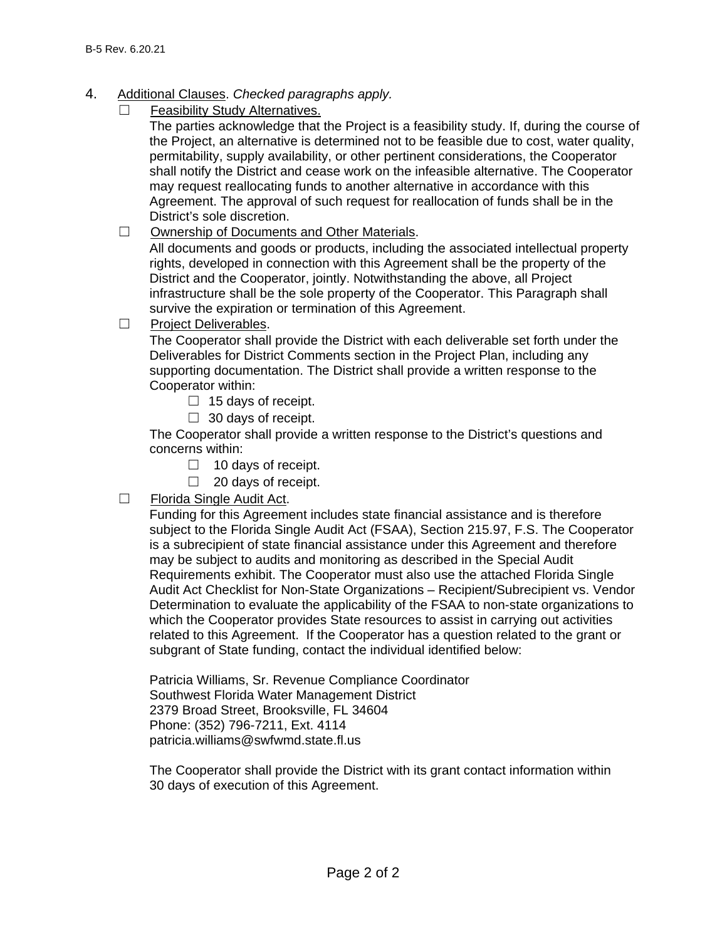- 4. Additional Clauses. *Checked paragraphs apply.*
	- Feasibility Study Alternatives.

The parties acknowledge that the Project is a feasibility study. If, during the course of the Project, an alternative is determined not to be feasible due to cost, water quality, permitability, supply availability, or other pertinent considerations, the Cooperator shall notify the District and cease work on the infeasible alternative. The Cooperator may request reallocating funds to another alternative in accordance with this Agreement. The approval of such request for reallocation of funds shall be in the District's sole discretion.

☐ Ownership of Documents and Other Materials.

All documents and goods or products, including the associated intellectual property rights, developed in connection with this Agreement shall be the property of the District and the Cooperator, jointly. Notwithstanding the above, all Project infrastructure shall be the sole property of the Cooperator. This Paragraph shall survive the expiration or termination of this Agreement.

☐ Project Deliverables.

The Cooperator shall provide the District with each deliverable set forth under the Deliverables for District Comments section in the Project Plan, including any supporting documentation. The District shall provide a written response to the Cooperator within:

- $\Box$  15 days of receipt.
- $\Box$  30 days of receipt.

The Cooperator shall provide a written response to the District's questions and concerns within:

- $\Box$  10 days of receipt.
- $\Box$  20 days of receipt.
- ☐ Florida Single Audit Act.

Funding for this Agreement includes state financial assistance and is therefore subject to the Florida Single Audit Act (FSAA), Section 215.97, F.S. The Cooperator is a subrecipient of state financial assistance under this Agreement and therefore may be subject to audits and monitoring as described in the Special Audit Requirements exhibit. The Cooperator must also use the attached Florida Single Audit Act Checklist for Non-State Organizations – Recipient/Subrecipient vs. Vendor Determination to evaluate the applicability of the FSAA to non-state organizations to which the Cooperator provides State resources to assist in carrying out activities related to this Agreement. If the Cooperator has a question related to the grant or subgrant of State funding, contact the individual identified below:

Patricia Williams, Sr. Revenue Compliance Coordinator Southwest Florida Water Management District 2379 Broad Street, Brooksville, FL 34604 Phone: (352) 796-7211, Ext. 4114 patricia.williams@swfwmd.state.fl.us

The Cooperator shall provide the District with its grant contact information within 30 days of execution of this Agreement.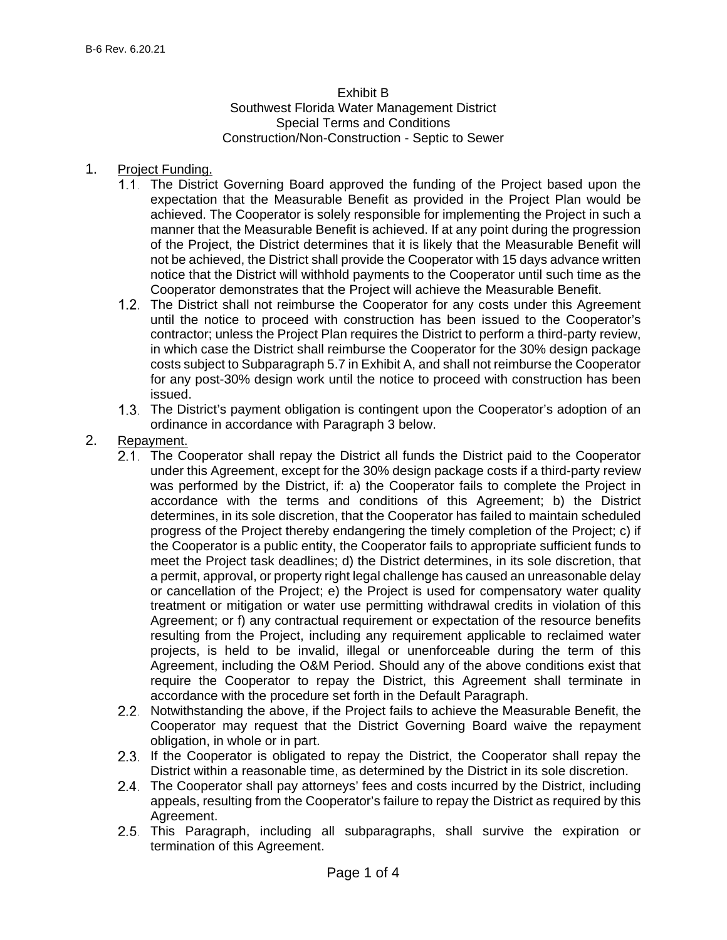### Exhibit B

Southwest Florida Water Management District Special Terms and Conditions Construction/Non-Construction - Septic to Sewer

#### 1. Project Funding.

- The District Governing Board approved the funding of the Project based upon the expectation that the Measurable Benefit as provided in the Project Plan would be achieved. The Cooperator is solely responsible for implementing the Project in such a manner that the Measurable Benefit is achieved. If at any point during the progression of the Project, the District determines that it is likely that the Measurable Benefit will not be achieved, the District shall provide the Cooperator with 15 days advance written notice that the District will withhold payments to the Cooperator until such time as the Cooperator demonstrates that the Project will achieve the Measurable Benefit.
- The District shall not reimburse the Cooperator for any costs under this Agreement until the notice to proceed with construction has been issued to the Cooperator's contractor; unless the Project Plan requires the District to perform a third-party review, in which case the District shall reimburse the Cooperator for the 30% design package costs subject to Subparagraph 5.7 in Exhibit A, and shall not reimburse the Cooperator for any post-30% design work until the notice to proceed with construction has been issued.
- The District's payment obligation is contingent upon the Cooperator's adoption of an ordinance in accordance with Paragraph 3 below.
- 2. Repayment.
	- 2.1. The Cooperator shall repay the District all funds the District paid to the Cooperator under this Agreement, except for the 30% design package costs if a third-party review was performed by the District, if: a) the Cooperator fails to complete the Project in accordance with the terms and conditions of this Agreement; b) the District determines, in its sole discretion, that the Cooperator has failed to maintain scheduled progress of the Project thereby endangering the timely completion of the Project; c) if the Cooperator is a public entity, the Cooperator fails to appropriate sufficient funds to meet the Project task deadlines; d) the District determines, in its sole discretion, that a permit, approval, or property right legal challenge has caused an unreasonable delay or cancellation of the Project; e) the Project is used for compensatory water quality treatment or mitigation or water use permitting withdrawal credits in violation of this Agreement; or f) any contractual requirement or expectation of the resource benefits resulting from the Project, including any requirement applicable to reclaimed water projects, is held to be invalid, illegal or unenforceable during the term of this Agreement, including the O&M Period. Should any of the above conditions exist that require the Cooperator to repay the District, this Agreement shall terminate in accordance with the procedure set forth in the Default Paragraph.
	- 2.2. Notwithstanding the above, if the Project fails to achieve the Measurable Benefit, the Cooperator may request that the District Governing Board waive the repayment obligation, in whole or in part.
	- 2.3. If the Cooperator is obligated to repay the District, the Cooperator shall repay the District within a reasonable time, as determined by the District in its sole discretion.
	- 2.4. The Cooperator shall pay attorneys' fees and costs incurred by the District, including appeals, resulting from the Cooperator's failure to repay the District as required by this Agreement.
	- 2.5. This Paragraph, including all subparagraphs, shall survive the expiration or termination of this Agreement.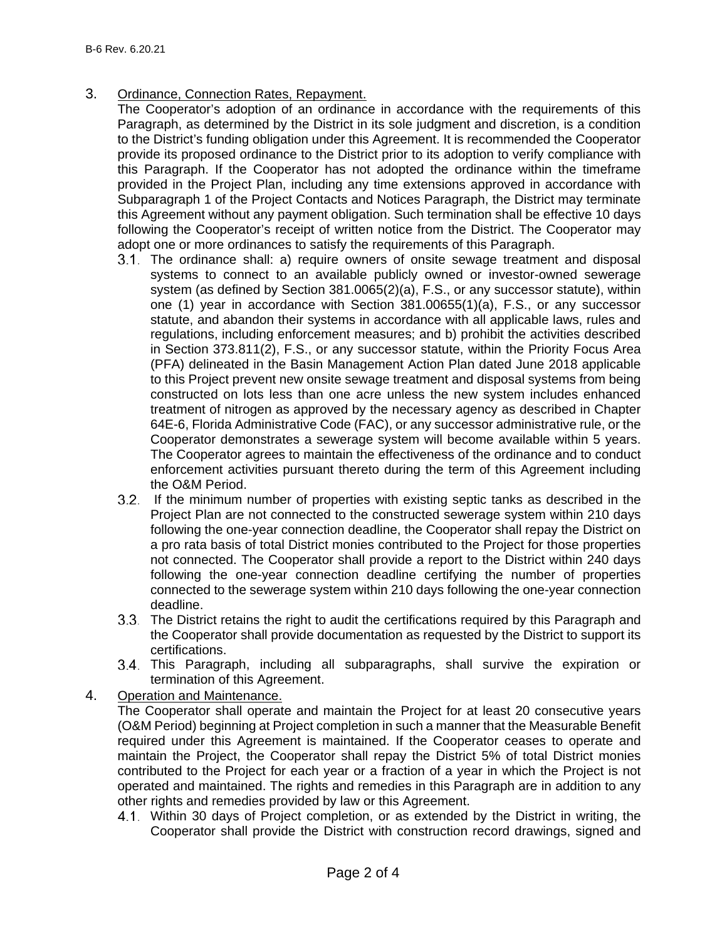- 3. Ordinance, Connection Rates, Repayment.
	- The Cooperator's adoption of an ordinance in accordance with the requirements of this Paragraph, as determined by the District in its sole judgment and discretion, is a condition to the District's funding obligation under this Agreement. It is recommended the Cooperator provide its proposed ordinance to the District prior to its adoption to verify compliance with this Paragraph. If the Cooperator has not adopted the ordinance within the timeframe provided in the Project Plan, including any time extensions approved in accordance with Subparagraph 1 of the Project Contacts and Notices Paragraph, the District may terminate this Agreement without any payment obligation. Such termination shall be effective 10 days following the Cooperator's receipt of written notice from the District. The Cooperator may adopt one or more ordinances to satisfy the requirements of this Paragraph.
		- The ordinance shall: a) require owners of onsite sewage treatment and disposal systems to connect to an available publicly owned or investor-owned sewerage system (as defined by Section 381.0065(2)(a), F.S., or any successor statute), within one (1) year in accordance with Section 381.00655(1)(a), F.S., or any successor statute, and abandon their systems in accordance with all applicable laws, rules and regulations, including enforcement measures; and b) prohibit the activities described in Section 373.811(2), F.S., or any successor statute, within the Priority Focus Area (PFA) delineated in the Basin Management Action Plan dated June 2018 applicable to this Project prevent new onsite sewage treatment and disposal systems from being constructed on lots less than one acre unless the new system includes enhanced treatment of nitrogen as approved by the necessary agency as described in Chapter 64E-6, Florida Administrative Code (FAC), or any successor administrative rule, or the Cooperator demonstrates a sewerage system will become available within 5 years. The Cooperator agrees to maintain the effectiveness of the ordinance and to conduct enforcement activities pursuant thereto during the term of this Agreement including the O&M Period.
		- If the minimum number of properties with existing septic tanks as described in the Project Plan are not connected to the constructed sewerage system within 210 days following the one-year connection deadline, the Cooperator shall repay the District on a pro rata basis of total District monies contributed to the Project for those properties not connected. The Cooperator shall provide a report to the District within 240 days following the one-year connection deadline certifying the number of properties connected to the sewerage system within 210 days following the one-year connection deadline.
		- The District retains the right to audit the certifications required by this Paragraph and the Cooperator shall provide documentation as requested by the District to support its certifications.
		- 3.4. This Paragraph, including all subparagraphs, shall survive the expiration or termination of this Agreement.

### 4. Operation and Maintenance.

The Cooperator shall operate and maintain the Project for at least 20 consecutive years (O&M Period) beginning at Project completion in such a manner that the Measurable Benefit required under this Agreement is maintained. If the Cooperator ceases to operate and maintain the Project, the Cooperator shall repay the District 5% of total District monies contributed to the Project for each year or a fraction of a year in which the Project is not operated and maintained. The rights and remedies in this Paragraph are in addition to any other rights and remedies provided by law or this Agreement.

Within 30 days of Project completion, or as extended by the District in writing, the Cooperator shall provide the District with construction record drawings, signed and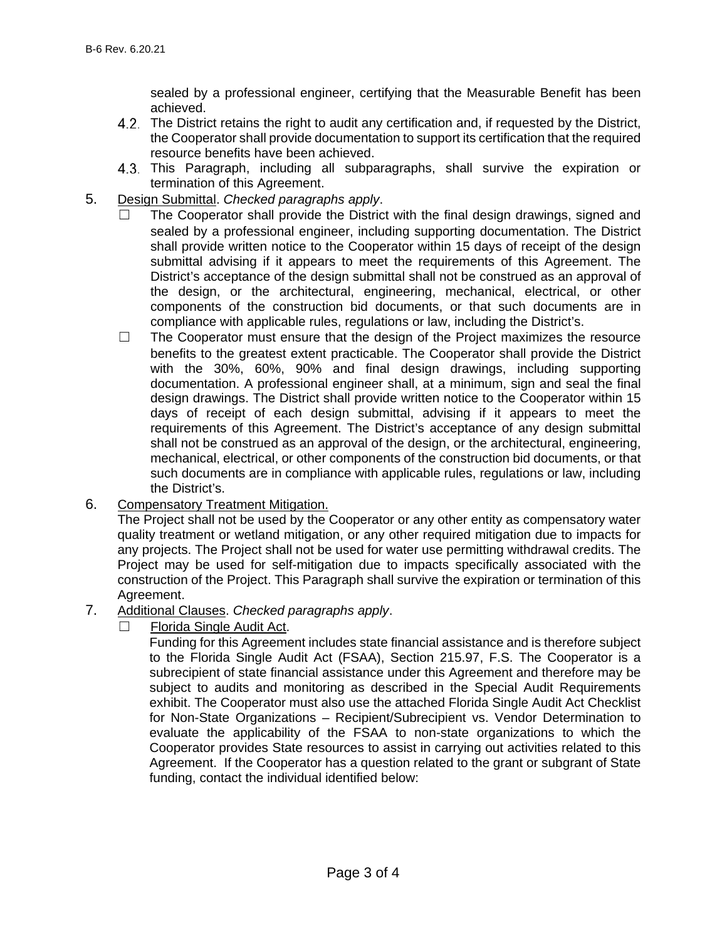sealed by a professional engineer, certifying that the Measurable Benefit has been achieved.

- The District retains the right to audit any certification and, if requested by the District, the Cooperator shall provide documentation to support its certification that the required resource benefits have been achieved.
- This Paragraph, including all subparagraphs, shall survive the expiration or termination of this Agreement.
- 5. Design Submittal. *Checked paragraphs apply*.
	- The Cooperator shall provide the District with the final design drawings, signed and sealed by a professional engineer, including supporting documentation. The District shall provide written notice to the Cooperator within 15 days of receipt of the design submittal advising if it appears to meet the requirements of this Agreement. The District's acceptance of the design submittal shall not be construed as an approval of the design, or the architectural, engineering, mechanical, electrical, or other components of the construction bid documents, or that such documents are in compliance with applicable rules, regulations or law, including the District's.
	- $\Box$  The Cooperator must ensure that the design of the Project maximizes the resource benefits to the greatest extent practicable. The Cooperator shall provide the District with the 30%, 60%, 90% and final design drawings, including supporting documentation. A professional engineer shall, at a minimum, sign and seal the final design drawings. The District shall provide written notice to the Cooperator within 15 days of receipt of each design submittal, advising if it appears to meet the requirements of this Agreement. The District's acceptance of any design submittal shall not be construed as an approval of the design, or the architectural, engineering, mechanical, electrical, or other components of the construction bid documents, or that such documents are in compliance with applicable rules, regulations or law, including the District's.
- 6. Compensatory Treatment Mitigation.

The Project shall not be used by the Cooperator or any other entity as compensatory water quality treatment or wetland mitigation, or any other required mitigation due to impacts for any projects. The Project shall not be used for water use permitting withdrawal credits. The Project may be used for self-mitigation due to impacts specifically associated with the construction of the Project. This Paragraph shall survive the expiration or termination of this Agreement.

- 7. Additional Clauses. *Checked paragraphs apply*.
	- ☐ Florida Single Audit Act.

Funding for this Agreement includes state financial assistance and is therefore subject to the Florida Single Audit Act (FSAA), Section 215.97, F.S. The Cooperator is a subrecipient of state financial assistance under this Agreement and therefore may be subject to audits and monitoring as described in the Special Audit Requirements exhibit. The Cooperator must also use the attached Florida Single Audit Act Checklist for Non-State Organizations – Recipient/Subrecipient vs. Vendor Determination to evaluate the applicability of the FSAA to non-state organizations to which the Cooperator provides State resources to assist in carrying out activities related to this Agreement. If the Cooperator has a question related to the grant or subgrant of State funding, contact the individual identified below: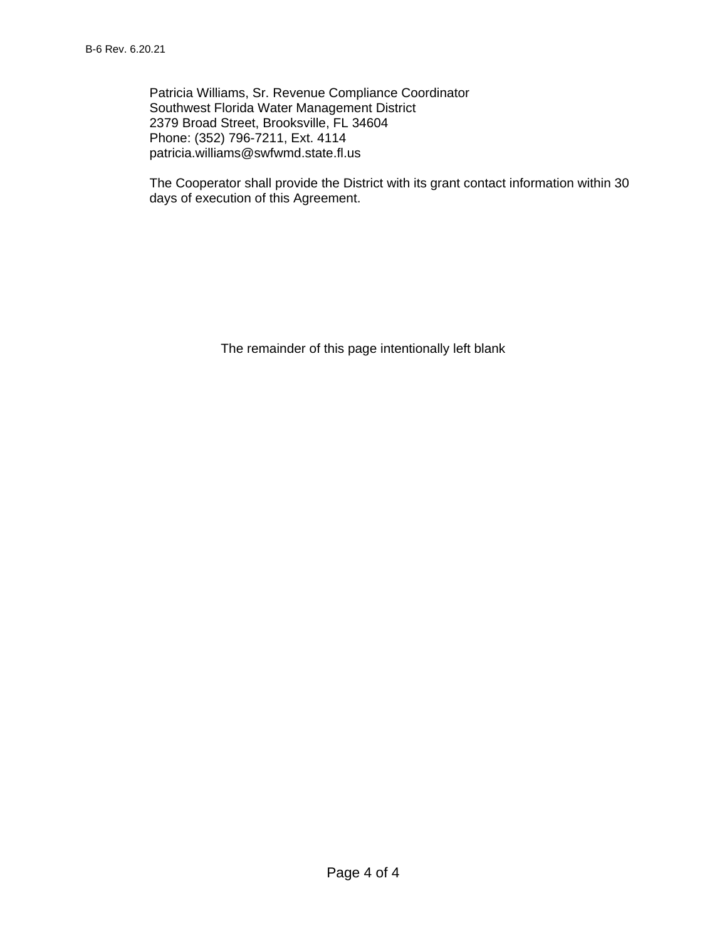Patricia Williams, Sr. Revenue Compliance Coordinator Southwest Florida Water Management District 2379 Broad Street, Brooksville, FL 34604 Phone: (352) 796-7211, Ext. 4114 patricia.williams@swfwmd.state.fl.us

The Cooperator shall provide the District with its grant contact information within 30 days of execution of this Agreement.

The remainder of this page intentionally left blank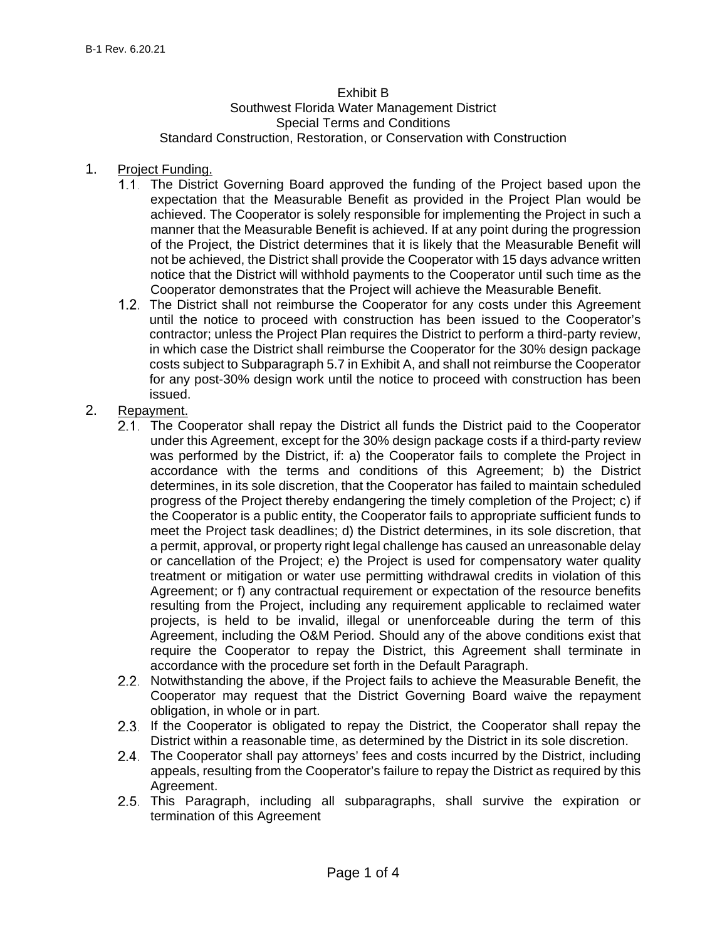#### Exhibit B

#### Southwest Florida Water Management District Special Terms and Conditions Standard Construction, Restoration, or Conservation with Construction

#### 1. Project Funding.

- The District Governing Board approved the funding of the Project based upon the expectation that the Measurable Benefit as provided in the Project Plan would be achieved. The Cooperator is solely responsible for implementing the Project in such a manner that the Measurable Benefit is achieved. If at any point during the progression of the Project, the District determines that it is likely that the Measurable Benefit will not be achieved, the District shall provide the Cooperator with 15 days advance written notice that the District will withhold payments to the Cooperator until such time as the Cooperator demonstrates that the Project will achieve the Measurable Benefit.
- 1.2. The District shall not reimburse the Cooperator for any costs under this Agreement until the notice to proceed with construction has been issued to the Cooperator's contractor; unless the Project Plan requires the District to perform a third-party review, in which case the District shall reimburse the Cooperator for the 30% design package costs subject to Subparagraph 5.7 in Exhibit A, and shall not reimburse the Cooperator for any post-30% design work until the notice to proceed with construction has been issued.

### 2. Repayment.

- 2.1. The Cooperator shall repay the District all funds the District paid to the Cooperator under this Agreement, except for the 30% design package costs if a third-party review was performed by the District, if: a) the Cooperator fails to complete the Project in accordance with the terms and conditions of this Agreement; b) the District determines, in its sole discretion, that the Cooperator has failed to maintain scheduled progress of the Project thereby endangering the timely completion of the Project; c) if the Cooperator is a public entity, the Cooperator fails to appropriate sufficient funds to meet the Project task deadlines; d) the District determines, in its sole discretion, that a permit, approval, or property right legal challenge has caused an unreasonable delay or cancellation of the Project; e) the Project is used for compensatory water quality treatment or mitigation or water use permitting withdrawal credits in violation of this Agreement; or f) any contractual requirement or expectation of the resource benefits resulting from the Project, including any requirement applicable to reclaimed water projects, is held to be invalid, illegal or unenforceable during the term of this Agreement, including the O&M Period. Should any of the above conditions exist that require the Cooperator to repay the District, this Agreement shall terminate in accordance with the procedure set forth in the Default Paragraph.
- 2.2. Notwithstanding the above, if the Project fails to achieve the Measurable Benefit, the Cooperator may request that the District Governing Board waive the repayment obligation, in whole or in part.
- 2.3. If the Cooperator is obligated to repay the District, the Cooperator shall repay the District within a reasonable time, as determined by the District in its sole discretion.
- The Cooperator shall pay attorneys' fees and costs incurred by the District, including appeals, resulting from the Cooperator's failure to repay the District as required by this Agreement.
- 2.5. This Paragraph, including all subparagraphs, shall survive the expiration or termination of this Agreement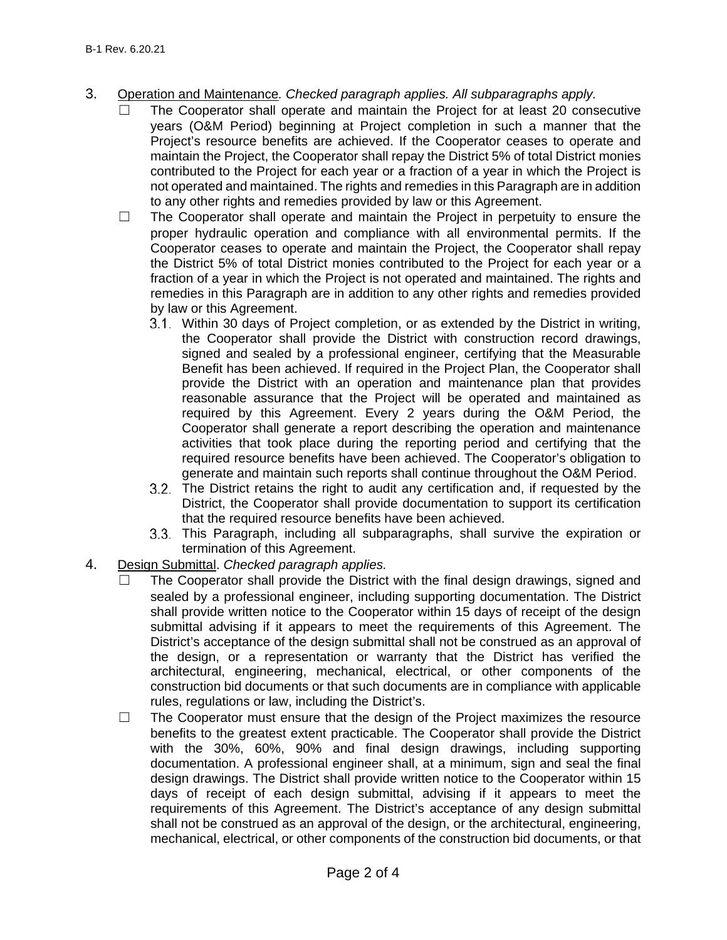- 3. Operation and Maintenance*. Checked paragraph applies. All subparagraphs apply.*
	- The Cooperator shall operate and maintain the Project for at least 20 consecutive years (O&M Period) beginning at Project completion in such a manner that the Project's resource benefits are achieved. If the Cooperator ceases to operate and maintain the Project, the Cooperator shall repay the District 5% of total District monies contributed to the Project for each year or a fraction of a year in which the Project is not operated and maintained. The rights and remedies in this Paragraph are in addition to any other rights and remedies provided by law or this Agreement.
	- $\Box$  The Cooperator shall operate and maintain the Project in perpetuity to ensure the proper hydraulic operation and compliance with all environmental permits. If the Cooperator ceases to operate and maintain the Project, the Cooperator shall repay the District 5% of total District monies contributed to the Project for each year or a fraction of a year in which the Project is not operated and maintained. The rights and remedies in this Paragraph are in addition to any other rights and remedies provided by law or this Agreement.
		- Within 30 days of Project completion, or as extended by the District in writing, the Cooperator shall provide the District with construction record drawings, signed and sealed by a professional engineer, certifying that the Measurable Benefit has been achieved. If required in the Project Plan, the Cooperator shall provide the District with an operation and maintenance plan that provides reasonable assurance that the Project will be operated and maintained as required by this Agreement. Every 2 years during the O&M Period, the Cooperator shall generate a report describing the operation and maintenance activities that took place during the reporting period and certifying that the required resource benefits have been achieved. The Cooperator's obligation to generate and maintain such reports shall continue throughout the O&M Period.
		- The District retains the right to audit any certification and, if requested by the District, the Cooperator shall provide documentation to support its certification that the required resource benefits have been achieved.
		- This Paragraph, including all subparagraphs, shall survive the expiration or termination of this Agreement.
- 4. Design Submittal. *Checked paragraph applies.*
	- The Cooperator shall provide the District with the final design drawings, signed and sealed by a professional engineer, including supporting documentation. The District shall provide written notice to the Cooperator within 15 days of receipt of the design submittal advising if it appears to meet the requirements of this Agreement. The District's acceptance of the design submittal shall not be construed as an approval of the design, or a representation or warranty that the District has verified the architectural, engineering, mechanical, electrical, or other components of the construction bid documents or that such documents are in compliance with applicable rules, regulations or law, including the District's.
	- ☐ The Cooperator must ensure that the design of the Project maximizes the resource benefits to the greatest extent practicable. The Cooperator shall provide the District with the 30%, 60%, 90% and final design drawings, including supporting documentation. A professional engineer shall, at a minimum, sign and seal the final design drawings. The District shall provide written notice to the Cooperator within 15 days of receipt of each design submittal, advising if it appears to meet the requirements of this Agreement. The District's acceptance of any design submittal shall not be construed as an approval of the design, or the architectural, engineering, mechanical, electrical, or other components of the construction bid documents, or that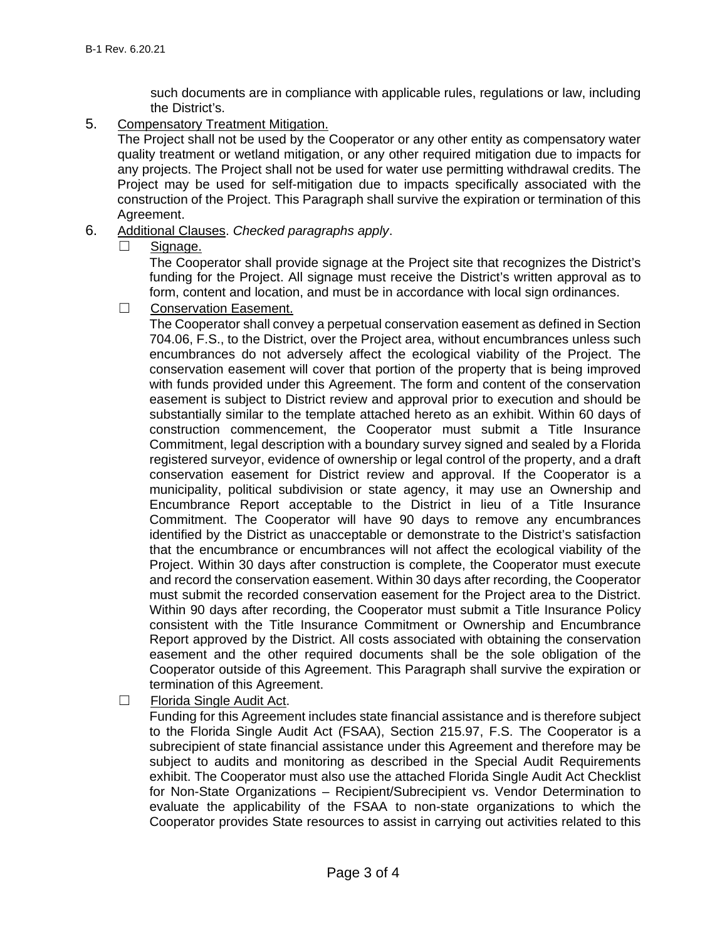such documents are in compliance with applicable rules, regulations or law, including the District's.

5. Compensatory Treatment Mitigation.

The Project shall not be used by the Cooperator or any other entity as compensatory water quality treatment or wetland mitigation, or any other required mitigation due to impacts for any projects. The Project shall not be used for water use permitting withdrawal credits. The Project may be used for self-mitigation due to impacts specifically associated with the construction of the Project. This Paragraph shall survive the expiration or termination of this Agreement.

- 6. Additional Clauses. *Checked paragraphs apply*.
	- □ Signage.

The Cooperator shall provide signage at the Project site that recognizes the District's funding for the Project. All signage must receive the District's written approval as to form, content and location, and must be in accordance with local sign ordinances.

□ Conservation Easement.

The Cooperator shall convey a perpetual conservation easement as defined in Section 704.06, F.S., to the District, over the Project area, without encumbrances unless such encumbrances do not adversely affect the ecological viability of the Project. The conservation easement will cover that portion of the property that is being improved with funds provided under this Agreement. The form and content of the conservation easement is subject to District review and approval prior to execution and should be substantially similar to the template attached hereto as an exhibit. Within 60 days of construction commencement, the Cooperator must submit a Title Insurance Commitment, legal description with a boundary survey signed and sealed by a Florida registered surveyor, evidence of ownership or legal control of the property, and a draft conservation easement for District review and approval. If the Cooperator is a municipality, political subdivision or state agency, it may use an Ownership and Encumbrance Report acceptable to the District in lieu of a Title Insurance Commitment. The Cooperator will have 90 days to remove any encumbrances identified by the District as unacceptable or demonstrate to the District's satisfaction that the encumbrance or encumbrances will not affect the ecological viability of the Project. Within 30 days after construction is complete, the Cooperator must execute and record the conservation easement. Within 30 days after recording, the Cooperator must submit the recorded conservation easement for the Project area to the District. Within 90 days after recording, the Cooperator must submit a Title Insurance Policy consistent with the Title Insurance Commitment or Ownership and Encumbrance Report approved by the District. All costs associated with obtaining the conservation easement and the other required documents shall be the sole obligation of the Cooperator outside of this Agreement. This Paragraph shall survive the expiration or termination of this Agreement.

☐ Florida Single Audit Act.

Funding for this Agreement includes state financial assistance and is therefore subject to the Florida Single Audit Act (FSAA), Section 215.97, F.S. The Cooperator is a subrecipient of state financial assistance under this Agreement and therefore may be subject to audits and monitoring as described in the Special Audit Requirements exhibit. The Cooperator must also use the attached Florida Single Audit Act Checklist for Non-State Organizations – Recipient/Subrecipient vs. Vendor Determination to evaluate the applicability of the FSAA to non-state organizations to which the Cooperator provides State resources to assist in carrying out activities related to this